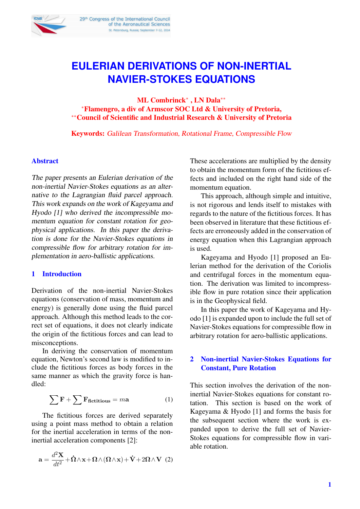

# **EULERIAN DERIVATIONS OF NON-INERTIAL NAVIER-STOKES EQUATIONS**

ML Combrinck<sup>∗</sup> , LN Dala∗∗ <sup>∗</sup>Flamengro, a div of Armscor SOC Ltd & University of Pretoria, ∗∗Council of Scientific and Industrial Research & University of Pretoria

Keywords: Galilean Transformation, Rotational Frame, Compressible Flow

#### Abstract

The paper presents an Eulerian derivation of the non-inertial Navier-Stokes equations as an alternative to the Lagrangian fluid parcel approach. This work expands on the work of Kageyama and Hyodo [1] who derived the incompressible momentum equation for constant rotation for geophysical applications. In this paper the derivation is done for the Navier-Stokes equations in compressible flow for arbitrary rotation for implementation in aero-ballistic applications.

## 1 Introduction

Derivation of the non-inertial Navier-Stokes equations (conservation of mass, momentum and energy) is generally done using the fluid parcel approach. Although this method leads to the correct set of equations, it does not clearly indicate the origin of the fictitious forces and can lead to misconceptions.

In deriving the conservation of momentum equation, Newton's second law is modified to include the fictitious forces as body forces in the same manner as which the gravity force is handled:

$$
\sum \mathbf{F} + \sum \mathbf{F}_{\text{fictitious}} = m\mathbf{a}
$$
 (1)

The fictitious forces are derived separately using a point mass method to obtain a relation for the inertial acceleration in terms of the noninertial acceleration components [2]:

$$
\mathbf{a} = \frac{d^2 \mathbf{X}}{dt^2} + \mathbf{\dot{\Omega}} \wedge \mathbf{x} + \mathbf{\Omega} \wedge (\mathbf{\Omega} \wedge \mathbf{x}) + \mathbf{\dot{V}} + 2\mathbf{\Omega} \wedge \mathbf{V} \tag{2}
$$

These accelerations are multiplied by the density to obtain the momentum form of the fictitious effects and included on the right hand side of the momentum equation.

This approach, although simple and intuitive, is not rigorous and lends itself to mistakes with regards to the nature of the fictitious forces. It has been observed in literature that these fictitious effects are erroneously added in the conservation of energy equation when this Lagrangian approach is used.

Kageyama and Hyodo [1] proposed an Eulerian method for the derivation of the Coriolis and centrifugal forces in the momentum equation. The derivation was limited to incompressible flow in pure rotation since their application is in the Geophysical field.

In this paper the work of Kageyama and Hyodo [1] is expanded upon to include the full set of Navier-Stokes equations for compressible flow in arbitrary rotation for aero-ballistic applications.

## 2 Non-inertial Navier-Stokes Equations for Constant, Pure Rotation

This section involves the derivation of the noninertial Navier-Stokes equations for constant rotation. This section is based on the work of Kageyama & Hyodo [1] and forms the basis for the subsequent section where the work is expanded upon to derive the full set of Navier-Stokes equations for compressible flow in variable rotation.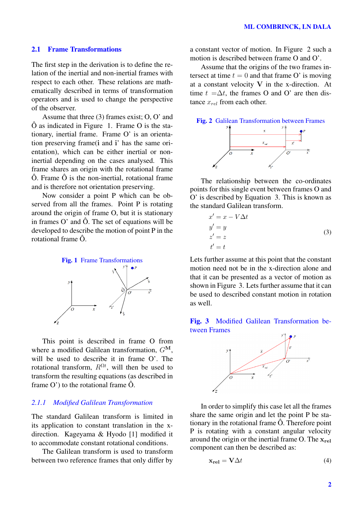## 2.1 Frame Transformations

The first step in the derivation is to define the relation of the inertial and non-inertial frames with respect to each other. These relations are mathematically described in terms of transformation operators and is used to change the perspective of the observer.

Assume that three (3) frames exist; O, O' and Ô as indicated in Figure 1. Frame O is the stationary, inertial frame. Frame O' is an orientation preserving frame(i and i' has the same orientation), which can be either inertial or noninertial depending on the cases analysed. This frame shares an origin with the rotational frame  $\hat{O}$ . Frame  $\hat{O}$  is the non-inertial, rotational frame and is therefore not orientation preserving.

Now consider a point P which can be observed from all the frames. Point P is rotating around the origin of frame O, but it is stationary in frames  $O'$  and  $\hat{O}$ . The set of equations will be developed to describe the motion of point P in the rotational frame Ô.



This point is described in frame O from where a modified Galilean transformation,  $G^M$ , will be used to describe it in frame O'. The rotational transform,  $R^{\Omega t}$ , will then be used to transform the resulting equations (as described in frame  $O'$ ) to the rotational frame  $\hat{O}$ .

## *2.1.1 Modified Galilean Transformation*

The standard Galilean transform is limited in its application to constant translation in the xdirection. Kageyama & Hyodo [1] modified it to accommodate constant rotational conditions.

The Galilean transform is used to transform between two reference frames that only differ by

a constant vector of motion. In Figure 2 such a motion is described between frame O and O'.

Assume that the origins of the two frames intersect at time  $t = 0$  and that frame O' is moving at a constant velocity V in the x-direction. At time  $t = \Delta t$ , the frames O and O' are then distance  $x_{rel}$  from each other.



The relationship between the co-ordinates points for this single event between frames O and O' is described by Equation 3. This is known as the standard Galilean transform.

$$
x' = x - V\Delta t
$$
  
\n
$$
y' = y
$$
  
\n
$$
z' = z
$$
  
\n
$$
t' = t
$$
\n(3)

Lets further assume at this point that the constant motion need not be in the x-direction alone and that it can be presented as a vector of motion as shown in Figure 3. Lets further assume that it can be used to described constant motion in rotation as well.

# Fig. 3 Modified Galilean Transformation between Frames



In order to simplify this case let all the frames share the same origin and let the point P be stationary in the rotational frame Ô. Therefore point P is rotating with a constant angular velocity around the origin or the inertial frame O. The  $x_{rel}$ component can then be described as:

$$
\mathbf{x}_{\text{rel}} = \mathbf{V} \Delta t \tag{4}
$$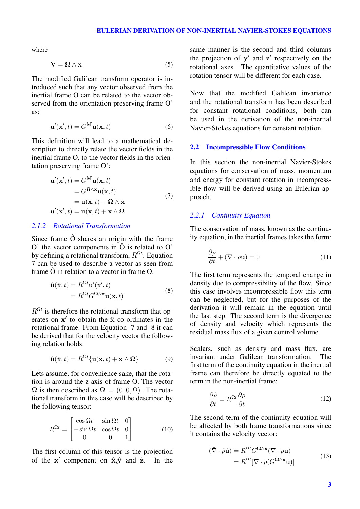where

$$
V = \Omega \wedge x \tag{5}
$$

The modified Galilean transform operator is introduced such that any vector observed from the inertial frame O can be related to the vector observed from the orientation preserving frame O' as:

$$
\mathbf{u}'(\mathbf{x}',t) = G^{\mathbf{M}}\mathbf{u}(\mathbf{x},t)
$$
 (6)

This definition will lead to a mathematical description to directly relate the vector fields in the inertial frame O, to the vector fields in the orientation preserving frame O':

$$
\mathbf{u}'(\mathbf{x}',t) = G^{\mathbf{M}} \mathbf{u}(\mathbf{x},t)
$$
  
=  $G^{\mathbf{\Omega}\wedge\mathbf{x}} \mathbf{u}(\mathbf{x},t)$   
=  $\mathbf{u}(\mathbf{x},t) - \mathbf{\Omega}\wedge\mathbf{x}$   

$$
\mathbf{u}'(\mathbf{x}',t) = \mathbf{u}(\mathbf{x},t) + \mathbf{x}\wedge\mathbf{\Omega}
$$
 (7)

#### *2.1.2 Rotational Transformation*

Since frame Ô shares an origin with the frame O' the vector components in Ô is related to O' by defining a rotational transform,  $R^{\Omega t}$ . Equation 7 can be used to describe a vector as seen from frame  $\hat{O}$  in relation to a vector in frame  $O$ .

$$
\hat{\mathbf{u}}(\hat{\mathbf{x}},t) = R^{\Omega t} \mathbf{u}'(\mathbf{x}',t)
$$
  
=  $R^{\Omega t} G^{\Omega \wedge \mathbf{x}} \mathbf{u}(\mathbf{x},t)$  (8)

 $R^{\Omega t}$  is therefore the rotational transform that operates on  $x'$  to obtain the  $\hat{x}$  co-ordinates in the rotational frame. From Equation 7 and 8 it can be derived that for the velocity vector the following relation holds:

$$
\hat{\mathbf{u}}(\hat{\mathbf{x}},t) = R^{\Omega t} \{ \mathbf{u}(\mathbf{x},t) + \mathbf{x} \wedge \Omega \}
$$
 (9)

Lets assume, for convenience sake, that the rotation is around the z-axis of frame O. The vector  $\Omega$  is then described as  $\Omega = (0, 0, \Omega)$ . The rotational transform in this case will be described by the following tensor:

$$
R^{\Omega t} = \begin{bmatrix} \cos \Omega t & \sin \Omega t & 0\\ -\sin \Omega t & \cos \Omega t & 0\\ 0 & 0 & 1 \end{bmatrix}
$$
 (10)

The first column of this tensor is the projection of the  $x'$  component on  $\hat{x}, \hat{y}$  and  $\hat{z}$ . In the

same manner is the second and third columns the projection of  $y'$  and  $z'$  respectively on the rotational axes. The quantitative values of the rotation tensor will be different for each case.

Now that the modified Galilean invariance and the rotational transform has been described for constant rotational conditions, both can be used in the derivation of the non-inertial Navier-Stokes equations for constant rotation.

#### 2.2 Incompressible Flow Conditions

In this section the non-inertial Navier-Stokes equations for conservation of mass, momentum and energy for constant rotation in incompressible flow will be derived using an Eulerian approach.

## *2.2.1 Continuity Equation*

The conservation of mass, known as the continuity equation, in the inertial frames takes the form:

$$
\frac{\partial \rho}{\partial t} + (\nabla \cdot \rho \mathbf{u}) = 0 \tag{11}
$$

The first term represents the temporal change in density due to compressibility of the flow. Since this case involves incompressible flow this term can be neglected, but for the purposes of the derivation it will remain in the equation until the last step. The second term is the divergence of density and velocity which represents the residual mass flux of a given control volume.

Scalars, such as density and mass flux, are invariant under Galilean transformation. The first term of the continuity equation in the inertial frame can therefore be directly equated to the term in the non-inertial frame:

$$
\frac{\partial \hat{\rho}}{\partial t} = R^{\Omega t} \frac{\partial \rho}{\partial t} \tag{12}
$$

The second term of the continuity equation will be affected by both frame transformations since it contains the velocity vector:

$$
(\hat{\nabla} \cdot \hat{\rho} \hat{\mathbf{u}}) = R^{\Omega t} G^{\Omega \wedge \mathbf{x}} (\nabla \cdot \rho \mathbf{u})
$$

$$
= R^{\Omega t} [\nabla \cdot \rho (G^{\Omega \wedge \mathbf{x}} \mathbf{u})]
$$
(13)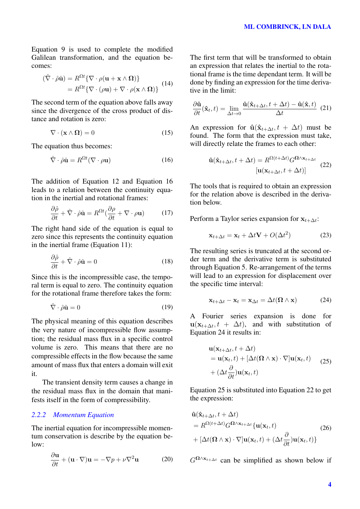Equation 9 is used to complete the modified Galilean transformation, and the equation becomes:

$$
(\hat{\nabla} \cdot \hat{\rho} \hat{\mathbf{u}}) = R^{\Omega t} {\nabla \cdot \rho (\mathbf{u} + \mathbf{x} \wedge \Omega)} = R^{\Omega t} {\nabla \cdot (\rho \mathbf{u}) + \nabla \cdot \rho (\mathbf{x} \wedge \Omega)}
$$
 (14)

The second term of the equation above falls away since the divergence of the cross product of distance and rotation is zero:

$$
\nabla \cdot (\mathbf{x} \wedge \mathbf{\Omega}) = 0 \tag{15}
$$

The equation thus becomes:

$$
\hat{\nabla} \cdot \hat{\rho} \hat{\mathbf{u}} = R^{\Omega t} (\nabla \cdot \rho \mathbf{u}) \tag{16}
$$

The addition of Equation 12 and Equation 16 leads to a relation between the continuity equation in the inertial and rotational frames:

$$
\frac{\partial \hat{\rho}}{\partial t} + \hat{\nabla} \cdot \hat{\rho} \hat{\mathbf{u}} = R^{\Omega t} (\frac{\partial \rho}{\partial t} + \nabla \cdot \rho \mathbf{u}) \tag{17}
$$

The right hand side of the equation is equal to zero since this represents the continuity equation in the inertial frame (Equation 11):

$$
\frac{\partial \hat{\rho}}{\partial t} + \hat{\nabla} \cdot \hat{\rho} \hat{\mathbf{u}} = 0 \tag{18}
$$

Since this is the incompressible case, the temporal term is equal to zero. The continuity equation for the rotational frame therefore takes the form:

$$
\hat{\nabla} \cdot \hat{\rho} \hat{\mathbf{u}} = 0 \tag{19}
$$

The physical meaning of this equation describes the very nature of incompressible flow assumption; the residual mass flux in a specific control volume is zero. This means that there are no compressible effects in the flow because the same amount of mass flux that enters a domain will exit it.

The transient density term causes a change in the residual mass flux in the domain that manifests itself in the form of compressibility.

## *2.2.2 Momentum Equation*

The inertial equation for incompressible momentum conservation is describe by the equation below:

$$
\frac{\partial \mathbf{u}}{\partial t} + (\mathbf{u} \cdot \nabla) \mathbf{u} = -\nabla p + \nu \nabla^2 \mathbf{u}
$$
 (20)

The first term that will be transformed to obtain an expression that relates the inertial to the rotational frame is the time dependant term. It will be done by finding an expression for the time derivative in the limit:

$$
\frac{\partial \hat{\mathbf{u}}}{\partial t}(\hat{\mathbf{x}}_t, t) = \lim_{\Delta t \to 0} \frac{\hat{\mathbf{u}}(\hat{\mathbf{x}}_{t + \Delta t}, t + \Delta t) - \hat{\mathbf{u}}(\hat{\mathbf{x}}, t)}{\Delta t}
$$
(21)

An expression for  $\hat{\mathbf{u}}(\hat{\mathbf{x}}_{t+\Delta t}, t + \Delta t)$  must be found. The form that the expression must take, will directly relate the frames to each other:

$$
\hat{\mathbf{u}}(\hat{\mathbf{x}}_{t+\Delta t}, t + \Delta t) = R^{\Omega(t+\Delta t)} G^{\Omega \wedge \mathbf{x}_{t+\Delta t}} \quad (22)
$$
\n
$$
[\mathbf{u}(\mathbf{x}_{t+\Delta t}, t + \Delta t)]
$$

The tools that is required to obtain an expression for the relation above is described in the derivation below.

Perform a Taylor series expansion for  $x_{t+\Delta t}$ :

$$
\mathbf{x}_{t+\Delta t} = \mathbf{x}_t + \Delta t \mathbf{V} + O(\Delta t^2)
$$
 (23)

The resulting series is truncated at the second order term and the derivative term is substituted through Equation 5. Re-arrangement of the terms will lead to an expression for displacement over the specific time interval:

$$
\mathbf{x}_{t+\Delta t} - \mathbf{x}_t = \mathbf{x}_{\Delta t} = \Delta t (\mathbf{\Omega} \wedge \mathbf{x}) \tag{24}
$$

A Fourier series expansion is done for  $\mathbf{u}(\mathbf{x}_{t+\Delta t}, t + \Delta t)$ , and with substitution of Equation 24 it results in:

$$
\mathbf{u}(\mathbf{x}_{t+\Delta t}, t + \Delta t) \n= \mathbf{u}(\mathbf{x}_t, t) + [\Delta t(\mathbf{\Omega} \wedge \mathbf{x}) \cdot \nabla] \mathbf{u}(\mathbf{x}_t, t) \n+ (\Delta t \frac{\partial}{\partial t}) \mathbf{u}(\mathbf{x}_t, t)
$$
\n(25)

Equation 25 is substituted into Equation 22 to get the expression:

$$
\hat{\mathbf{u}}(\hat{\mathbf{x}}_{t+\Delta t}, t + \Delta t) \n= R^{\Omega(t+\Delta t)} G^{\Omega \wedge \mathbf{x}_{t+\Delta t}} \{ \mathbf{u}(\mathbf{x}_t, t) \n+ [\Delta t(\Omega \wedge \mathbf{x}) \cdot \nabla] \mathbf{u}(\mathbf{x}_t, t) + (\Delta t \frac{\partial}{\partial t}) \mathbf{u}(\mathbf{x}_t, t) \}
$$
\n(26)

 $G^{\Omega \wedge x_{t+\Delta t}}$  can be simplified as shown below if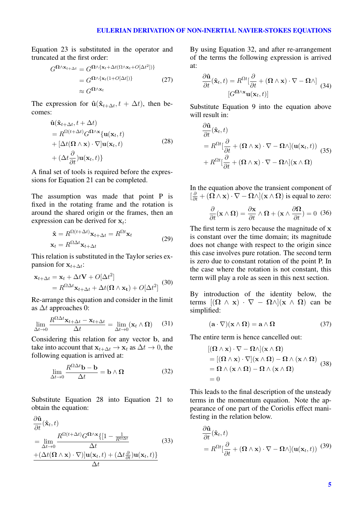Equation 23 is substituted in the operator and truncated at the first order:

$$
G^{\Omega \wedge \mathbf{x}_{t+\Delta t}} = G^{\Omega \wedge \{\mathbf{x}_{t} + \Delta t (\Omega \wedge \mathbf{x}_{t} + O[\Delta t^{2}])\}} \\
= G^{\Omega \wedge \{\mathbf{x}_{t} (1 + O[\Delta t])\}} \\
\approx G^{\Omega \wedge \mathbf{x}_{t}} \tag{27}
$$

The expression for  $\hat{\mathbf{u}}(\hat{\mathbf{x}}_{t+\Delta t}, t + \Delta t)$ , then becomes:

$$
\hat{\mathbf{u}}(\hat{\mathbf{x}}_{t+\Delta t}, t + \Delta t) \n= R^{\Omega(t+\Delta t)} G^{\Omega \wedge \mathbf{x}} \{ \mathbf{u}(\mathbf{x}_t, t) \n+ [\Delta t(\Omega \wedge \mathbf{x}) \cdot \nabla] \mathbf{u}(\mathbf{x}_t, t) \n+ (\Delta t \frac{\partial}{\partial t}) \mathbf{u}(\mathbf{x}_t, t) \}
$$
\n(28)

A final set of tools is required before the expressions for Equation 21 can be completed.

The assumption was made that point P is fixed in the rotating frame and the rotation is around the shared origin or the frames, then an expression can be derived for  $x_t$ :

$$
\hat{\mathbf{x}} = R^{\Omega(t + \Delta t)} \mathbf{x}_{t + \Delta t} = R^{\Omega t} \mathbf{x}_t
$$
  

$$
\mathbf{x}_t = R^{\Omega \Delta t} \mathbf{x}_{t + \Delta t}
$$
 (29)

This relation is substituted in the Taylor series expansion for  $\mathbf{x}_{t+\Delta t}$ :

$$
\mathbf{x}_{t+\Delta t} = \mathbf{x}_t + \Delta t \mathbf{V} + O[\Delta t^2]
$$
  
=  $R^{\Omega \Delta t} \mathbf{x}_{t+\Delta t} + \Delta t (\mathbf{\Omega} \wedge \mathbf{x}_t) + O[\Delta t^2]$  (30)

Re-arrange this equation and consider in the limit as  $\Delta t$  approaches 0:

$$
\lim_{\Delta t \to 0} \frac{R^{\Omega \Delta t} \mathbf{x}_{t + \Delta t} - \mathbf{x}_{t + \Delta t}}{\Delta t} = \lim_{\Delta t \to 0} (\mathbf{x}_t \wedge \mathbf{\Omega}) \tag{31}
$$

Considering this relation for any vector b, and take into account that  $\mathbf{x}_{t+\Delta t} \rightarrow \mathbf{x}_t$  as  $\Delta t \rightarrow 0$ , the following equation is arrived at:

$$
\lim_{\Delta t \to 0} \frac{R^{\Omega \Delta t} \mathbf{b} - \mathbf{b}}{\Delta t} = \mathbf{b} \wedge \mathbf{\Omega}
$$
 (32)

Substitute Equation 28 into Equation 21 to obtain the equation:

$$
\frac{\partial \hat{\mathbf{u}}}{\partial t}(\hat{\mathbf{x}}_t, t)
$$
\n
$$
= \lim_{\Delta t \to 0} \frac{R^{\Omega(t + \Delta t)} G^{\Omega \wedge \mathbf{x}} \{ [1 - \frac{1}{R^{\Omega \Delta t}} \quad (33) \quad \Delta t \quad (\Delta t(\Omega \wedge \mathbf{x}) \cdot \nabla) ] \mathbf{u}(\mathbf{x}_t, t) + (\Delta t \frac{\partial}{\partial t}) \mathbf{u}(\mathbf{x}_t, t) \} }{\Delta t}
$$

By using Equation 32, and after re-arrangement of the terms the following expression is arrived at:

$$
\frac{\partial \hat{\mathbf{u}}}{\partial t}(\hat{\mathbf{x}}_t, t) = R^{\Omega t} \left[ \frac{\partial}{\partial t} + (\mathbf{\Omega} \wedge \mathbf{x}) \cdot \nabla - \mathbf{\Omega} \wedge \right] \tag{34}
$$
\n
$$
\left[ G^{\Omega \wedge \mathbf{x}} \mathbf{u}(\mathbf{x}_t, t) \right]
$$

Substitute Equation 9 into the equation above will result in:

$$
\frac{\partial \hat{\mathbf{u}}}{\partial t}(\hat{\mathbf{x}}_t, t) \n= R^{\Omega t} \left[ \frac{\partial}{\partial t} + (\mathbf{\Omega} \wedge \mathbf{x}) \cdot \nabla - \mathbf{\Omega} \wedge \right] (\mathbf{u}(\mathbf{x}_t, t)) \n+ R^{\Omega t} \left[ \frac{\partial}{\partial t} + (\mathbf{\Omega} \wedge \mathbf{x}) \cdot \nabla - \mathbf{\Omega} \wedge \right] (\mathbf{x} \wedge \mathbf{\Omega})
$$
\n(35)

In the equation above the transient component of  $\left[\frac{\partial}{\partial t} + (\Omega \wedge x) \cdot \nabla - \Omega \wedge \right] (\mathbf{x} \wedge \Omega)$  is equal to zero:

$$
\frac{\partial}{\partial t}(\mathbf{x} \wedge \mathbf{\Omega}) = \frac{\partial \mathbf{x}}{\partial t} \wedge \mathbf{\Omega} + (\mathbf{x} \wedge \frac{\partial \mathbf{\Omega}}{\partial t}) = 0 \tag{36}
$$

The first term is zero because the magnitude of x is constant over the time domain; its magnitude does not change with respect to the origin since this case involves pure rotation. The second term is zero due to constant rotation of the point P. In the case where the rotation is not constant, this term will play a role as seen in this next section.

By introduction of the identity below, the terms  $[(\Omega \wedge x) \cdot \nabla - \Omega \wedge](x \wedge \Omega)$  can be simplified:

$$
(\mathbf{a} \cdot \nabla)(\mathbf{x} \wedge \mathbf{\Omega}) = \mathbf{a} \wedge \mathbf{\Omega}
$$
 (37)

The entire term is hence cancelled out:

$$
[(\mathbf{\Omega} \wedge \mathbf{x}) \cdot \nabla - \mathbf{\Omega} \wedge ](\mathbf{x} \wedge \mathbf{\Omega})
$$
  
= 
$$
[(\mathbf{\Omega} \wedge \mathbf{x}) \cdot \nabla ](\mathbf{x} \wedge \mathbf{\Omega}) - \mathbf{\Omega} \wedge (\mathbf{x} \wedge \mathbf{\Omega})
$$
  
= 
$$
\mathbf{\Omega} \wedge (\mathbf{x} \wedge \mathbf{\Omega}) - \mathbf{\Omega} \wedge (\mathbf{x} \wedge \mathbf{\Omega})
$$
(38)  
= 0

This leads to the final description of the unsteady terms in the momentum equation. Note the appearance of one part of the Coriolis effect manifesting in the relation below.

$$
\frac{\partial \hat{\mathbf{u}}}{\partial t}(\hat{\mathbf{x}}_t, t)
$$
  
=  $R^{\Omega t}[\frac{\partial}{\partial t} + (\mathbf{\Omega} \wedge \mathbf{x}) \cdot \nabla - \mathbf{\Omega} \wedge](\mathbf{u}(\mathbf{x}_t, t))$  (39)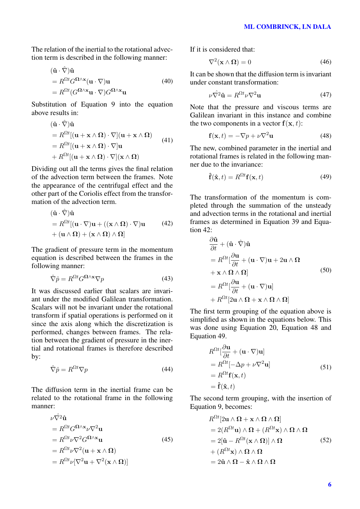The relation of the inertial to the rotational advection term is described in the following manner:

$$
(\hat{\mathbf{u}} \cdot \hat{\nabla})\hat{\mathbf{u}}= R^{\Omega t} G^{\Omega \wedge \mathbf{x}} (\mathbf{u} \cdot \nabla) \mathbf{u}= R^{\Omega t} (G^{\Omega \wedge \mathbf{x}} \mathbf{u} \cdot \nabla) G^{\Omega \wedge \mathbf{x}} \mathbf{u}
$$
(40)

Substitution of Equation 9 into the equation above results in:

 $\langle \cdot, \cdot \rangle$  /  $\sim$   $\sim$ 

$$
(\hat{\mathbf{u}} \cdot \nabla)\hat{\mathbf{u}}= R^{\Omega t}[(\mathbf{u} + \mathbf{x} \wedge \Omega) \cdot \nabla](\mathbf{u} + \mathbf{x} \wedge \Omega) = R^{\Omega t}[(\mathbf{u} + \mathbf{x} \wedge \Omega) \cdot \nabla]\mathbf{u}+ R^{\Omega t}[(\mathbf{u} + \mathbf{x} \wedge \Omega) \cdot \nabla](\mathbf{x} \wedge \Omega)
$$
(41)

Dividing out all the terms gives the final relation of the advection term between the frames. Note the appearance of the centrifugal effect and the other part of the Coriolis effect from the transformation of the advection term.

$$
(\hat{\mathbf{u}} \cdot \hat{\nabla})\hat{\mathbf{u}}= R^{\Omega t}[(\mathbf{u} \cdot \nabla)\mathbf{u} + ((\mathbf{x} \wedge \Omega) \cdot \nabla)\mathbf{u} \qquad (42)+ (\mathbf{u} \wedge \Omega) + (\mathbf{x} \wedge \Omega) \wedge \Omega]
$$

The gradient of pressure term in the momentum equation is described between the frames in the following manner:

$$
\hat{\nabla}\hat{p} = R^{\Omega t} G^{\Omega \wedge \mathbf{x}} \nabla p \tag{43}
$$

It was discussed earlier that scalars are invariant under the modified Galilean transformation. Scalars will not be invariant under the rotational transform if spatial operations is performed on it since the axis along which the discretization is performed, changes between frames. The relation between the gradient of pressure in the inertial and rotational frames is therefore described by:

$$
\hat{\nabla}\hat{p} = R^{\Omega t} \nabla p \tag{44}
$$

The diffusion term in the inertial frame can be related to the rotational frame in the following manner:

$$
\nu \hat{\nabla}^2 \hat{\mathbf{u}} \n= R^{\Omega t} G^{\Omega \wedge \mathbf{x}} \nu \nabla^2 \mathbf{u} \n= R^{\Omega t} \nu \nabla^2 G^{\Omega \wedge \mathbf{x}} \mathbf{u} \n= R^{\Omega t} \nu \nabla^2 (\mathbf{u} + \mathbf{x} \wedge \Omega) \n= R^{\Omega t} \nu [\nabla^2 \mathbf{u} + \nabla^2 (\mathbf{x} \wedge \Omega)]
$$
\n(45)

If it is considered that:

$$
\nabla^2(\mathbf{x} \wedge \mathbf{\Omega}) = 0 \tag{46}
$$

It can be shown that the diffusion term is invariant under constant transformation:

$$
\nu \hat{\nabla}^2 \hat{\mathbf{u}} = R^{\Omega t} \nu \nabla^2 \mathbf{u}
$$
 (47)

Note that the pressure and viscous terms are Galilean invariant in this instance and combine the two components in a vector  $f(x, t)$ :

$$
\mathbf{f}(\mathbf{x},t) = -\nabla p + \nu \nabla^2 \mathbf{u}
$$
 (48)

The new, combined parameter in the inertial and rotational frames is related in the following manner due to the invariance:

$$
\hat{\mathbf{f}}(\hat{\mathbf{x}},t) = R^{\Omega t} \mathbf{f}(\mathbf{x},t)
$$
 (49)

The transformation of the momentum is completed through the summation of the unsteady and advection terms in the rotational and inertial frames as determined in Equation 39 and Equation 42:

$$
\frac{\partial \hat{\mathbf{u}}}{\partial t} + (\hat{\mathbf{u}} \cdot \hat{\nabla}) \hat{\mathbf{u}}\n= R^{\Omega t} [\frac{\partial \mathbf{u}}{\partial t} + (\mathbf{u} \cdot \nabla) \mathbf{u} + 2 \mathbf{u} \wedge \Omega\n+ \mathbf{x} \wedge \Omega \wedge \Omega]\n= R^{\Omega t} [\frac{\partial \mathbf{u}}{\partial t} + (\mathbf{u} \cdot \nabla) \mathbf{u}]\n+ R^{\Omega t} [2 \mathbf{u} \wedge \Omega + \mathbf{x} \wedge \Omega \wedge \Omega]
$$
\n(50)

The first term grouping of the equation above is simplified as shown in the equations below. This was done using Equation 20, Equation 48 and Equation 49.

$$
R^{\Omega t}[\frac{\partial \mathbf{u}}{\partial t} + (\mathbf{u} \cdot \nabla)\mathbf{u}]
$$
  
=  $R^{\Omega t}[-\Delta p + \nu \nabla^2 \mathbf{u}]$   
=  $R^{\Omega t} \mathbf{f}(\mathbf{x}, t)$   
=  $\hat{\mathbf{f}}(\hat{\mathbf{x}}, t)$  (51)

The second term grouping, with the insertion of Equation 9, becomes:

$$
R^{\Omega t} [2\mathbf{u} \wedge \mathbf{\Omega} + \mathbf{x} \wedge \mathbf{\Omega} \wedge \mathbf{\Omega}]
$$
  
= 2(R^{\Omega t} \mathbf{u}) \wedge \mathbf{\Omega} + (R^{\Omega t} \mathbf{x}) \wedge \mathbf{\Omega} \wedge \mathbf{\Omega}  
= 2[\hat{\mathbf{u}} - R^{\Omega t} (\mathbf{x} \wedge \mathbf{\Omega})] \wedge \mathbf{\Omega}  
+ (R^{\Omega t} \mathbf{x}) \wedge \mathbf{\Omega} \wedge \mathbf{\Omega}  
= 2\hat{\mathbf{u}} \wedge \mathbf{\Omega} - \hat{\mathbf{x}} \wedge \mathbf{\Omega} \wedge \mathbf{\Omega}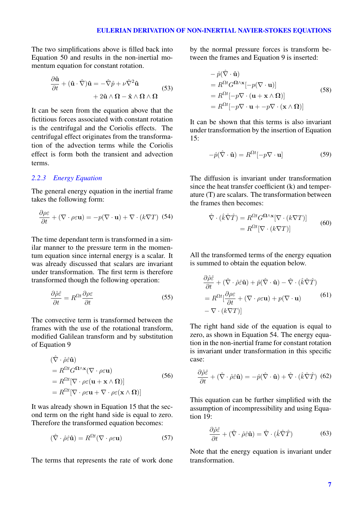The two simplifications above is filled back into Equation 50 and results in the non-inertial momentum equation for constant rotation.

$$
\frac{\partial \hat{\mathbf{u}}}{\partial t} + (\hat{\mathbf{u}} \cdot \hat{\nabla}) \hat{\mathbf{u}} = -\hat{\nabla} \hat{p} + \nu \hat{\nabla}^2 \hat{\mathbf{u}} + 2\hat{\mathbf{u}} \wedge \mathbf{\Omega} - \hat{\mathbf{x}} \wedge \mathbf{\Omega} \wedge \mathbf{\Omega}
$$
 (53)

It can be seen from the equation above that the fictitious forces associated with constant rotation is the centrifugal and the Coriolis effects. The centrifugal effect originates from the transformation of the advection terms while the Coriolis effect is form both the transient and advection terms.

# *2.2.3 Energy Equation*

The general energy equation in the inertial frame takes the following form:

$$
\frac{\partial \rho \varepsilon}{\partial t} + (\nabla \cdot \rho \varepsilon \mathbf{u}) = -p(\nabla \cdot \mathbf{u}) + \nabla \cdot (k \nabla T) \tag{54}
$$

The time dependant term is transformed in a similar manner to the pressure term in the momentum equation since internal energy is a scalar. It was already discussed that scalars are invariant under transformation. The first term is therefore transformed though the following operation:

$$
\frac{\partial \hat{\rho}\hat{\varepsilon}}{\partial t} = R^{\Omega t} \frac{\partial \rho \varepsilon}{\partial t}
$$
\n(55)

The convective term is transformed between the frames with the use of the rotational transform, modified Galilean transform and by substitution of Equation 9

$$
(\hat{\nabla} \cdot \hat{\rho} \hat{\varepsilon} \hat{\mathbf{u}})
$$
  
=  $R^{\Omega t} G^{\Omega \wedge \mathbf{x}} (\nabla \cdot \rho \varepsilon \mathbf{u})$   
=  $R^{\Omega t} [\nabla \cdot \rho \varepsilon (\mathbf{u} + \mathbf{x} \wedge \Omega)]$   
=  $R^{\Omega t} [\nabla \cdot \rho \varepsilon \mathbf{u} + \nabla \cdot \rho \varepsilon (\mathbf{x} \wedge \Omega)]$  (56)

It was already shown in Equation 15 that the second term on the right hand side is equal to zero. Therefore the transformed equation becomes:

$$
(\hat{\nabla} \cdot \hat{\rho} \hat{\varepsilon} \hat{\mathbf{u}}) = R^{\Omega t} (\nabla \cdot \rho \varepsilon \mathbf{u}) \tag{57}
$$

The terms that represents the rate of work done

by the normal pressure forces is transform between the frames and Equation 9 is inserted:

$$
- \hat{p}(\hat{\nabla} \cdot \hat{\mathbf{u}})
$$
  
=  $R^{\Omega t} G^{\Omega \wedge \mathbf{x}} [-p(\nabla \cdot \mathbf{u})]$   
=  $R^{\Omega t} [-p\nabla \cdot (\mathbf{u} + \mathbf{x} \wedge \Omega)]$   
=  $R^{\Omega t} [-p\nabla \cdot \mathbf{u} + -p\nabla \cdot (\mathbf{x} \wedge \Omega)]$  (58)

It can be shown that this terms is also invariant under transformation by the insertion of Equation 15:

$$
-\hat{p}(\hat{\nabla} \cdot \hat{\mathbf{u}}) = R^{\Omega t}[-p \nabla \cdot \mathbf{u}] \tag{59}
$$

The diffusion is invariant under transformation since the heat transfer coefficient (k) and temperature (T) are scalars. The transformation between the frames then becomes:

$$
\hat{\nabla} \cdot (\hat{k}\hat{\nabla}\hat{T}) = R^{\Omega t} G^{\Omega \wedge \mathbf{x}} [\nabla \cdot (k \nabla T)] \n= R^{\Omega t} [\nabla \cdot (k \nabla T)]
$$
\n(60)

All the transformed terms of the energy equation is summed to obtain the equation below.

$$
\frac{\partial \hat{\rho}\hat{\varepsilon}}{\partial t} + (\hat{\nabla} \cdot \hat{\rho}\hat{\varepsilon}\hat{\mathbf{u}}) + \hat{p}(\hat{\nabla} \cdot \hat{\mathbf{u}}) - \hat{\nabla} \cdot (\hat{k}\hat{\nabla}\hat{T})
$$
  
=  $R^{\Omega t} \left[ \frac{\partial \rho \varepsilon}{\partial t} + (\nabla \cdot \rho \varepsilon \mathbf{u}) + p(\nabla \cdot \mathbf{u}) \right]$  (61)  
-  $\nabla \cdot (k\nabla T)$ 

The right hand side of the equation is equal to zero, as shown in Equation 54. The energy equation in the non-inertial frame for constant rotation is invariant under transformation in this specific case:

$$
\frac{\partial \hat{\rho}\hat{\varepsilon}}{\partial t} + (\hat{\nabla} \cdot \hat{\rho}\hat{\varepsilon}\mathbf{\hat{u}}) = -\hat{p}(\hat{\nabla} \cdot \mathbf{\hat{u}}) + \hat{\nabla} \cdot (\hat{k}\hat{\nabla}\hat{T}) \tag{62}
$$

This equation can be further simplified with the assumption of incompressibility and using Equation 19:

$$
\frac{\partial \hat{\rho}\hat{\varepsilon}}{\partial t} + (\hat{\nabla} \cdot \hat{\rho}\hat{\varepsilon}\hat{\mathbf{u}}) = \hat{\nabla} \cdot (\hat{k}\hat{\nabla}\hat{T})
$$
(63)

Note that the energy equation is invariant under transformation.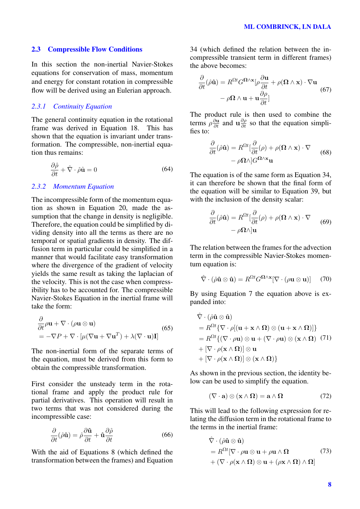## 2.3 Compressible Flow Conditions

In this section the non-inertial Navier-Stokes equations for conservation of mass, momentum and energy for constant rotation in compressible flow will be derived using an Eulerian approach.

## *2.3.1 Continuity Equation*

The general continuity equation in the rotational frame was derived in Equation 18. This has shown that the equation is invariant under transformation. The compressible, non-inertial equation thus remains:

$$
\frac{\partial \hat{\rho}}{\partial t} + \hat{\nabla} \cdot \hat{\rho} \hat{\mathbf{u}} = 0 \tag{64}
$$

#### *2.3.2 Momentum Equation*

The incompressible form of the momentum equation as shown in Equation 20, made the assumption that the change in density is negligible. Therefore, the equation could be simplified by dividing density into all the terms as there are no temporal or spatial gradients in density. The diffusion term in particular could be simplified in a manner that would facilitate easy transformation where the divergence of the gradient of velocity yields the same result as taking the laplacian of the velocity. This is not the case when compressibility has to be accounted for. The compressible Navier-Stokes Equation in the inertial frame will take the form:

$$
\frac{\partial}{\partial t}\rho \mathbf{u} + \nabla \cdot (\rho \mathbf{u} \otimes \mathbf{u})
$$
\n
$$
= -\nabla P + \nabla \cdot [\mu(\nabla \mathbf{u} + \nabla \mathbf{u}^T) + \lambda(\nabla \cdot \mathbf{u})\mathbf{I}]
$$
\n(65)

The non-inertial form of the separate terms of the equation, must be derived from this form to obtain the compressible transformation.

First consider the unsteady term in the rotational frame and apply the product rule for partial derivatives. This operation will result in two terms that was not considered during the incompressible case:

$$
\frac{\partial}{\partial t}(\hat{\rho}\hat{\mathbf{u}}) = \hat{\rho}\frac{\partial \hat{\mathbf{u}}}{\partial t} + \hat{\mathbf{u}}\frac{\partial \hat{\rho}}{\partial t}
$$
(66)

With the aid of Equations 8 (which defined the transformation between the frames) and Equation 34 (which defined the relation between the incompressible transient term in different frames) the above becomes:

$$
\frac{\partial}{\partial t}(\hat{\rho}\hat{\mathbf{u}}) = R^{\Omega t}G^{\Omega\wedge\mathbf{x}}[\rho\frac{\partial \mathbf{u}}{\partial t} + \rho(\Omega\wedge\mathbf{x})\cdot\nabla\mathbf{u} \n- \rho\Omega\wedge\mathbf{u} + \mathbf{u}\frac{\partial\rho}{\partial t}]
$$
\n(67)

The product rule is then used to combine the terms  $\rho \frac{\partial \mathbf{u}}{\partial t}$  and  $\mathbf{u} \frac{\partial \rho}{\partial t}$  so that the equation simplifies to:

$$
\frac{\partial}{\partial t}(\hat{\rho}\hat{\mathbf{u}}) = R^{\Omega t} \left[ \frac{\partial}{\partial t}(\rho) + \rho(\mathbf{\Omega} \wedge \mathbf{x}) \cdot \nabla \right] - \rho \mathbf{\Omega} \wedge \left| G^{\Omega \wedge \mathbf{x}} \mathbf{u} \right]
$$
(68)

The equation is of the same form as Equation 34, it can therefore be shown that the final form of the equation will be similar to Equation 39, but with the inclusion of the density scalar:

$$
\frac{\partial}{\partial t}(\hat{\rho}\hat{\mathbf{u}}) = R^{\Omega t} \left[ \frac{\partial}{\partial t}(\rho) + \rho(\mathbf{\Omega} \wedge \mathbf{x}) \cdot \nabla \right] - \rho \Omega \wedge \left| \mathbf{u} \right| \tag{69}
$$

The relation between the frames for the advection term in the compressible Navier-Stokes momentum equation is:

$$
\hat{\nabla} \cdot (\hat{\rho} \hat{\mathbf{u}} \otimes \hat{\mathbf{u}}) = R^{\Omega t} G^{\Omega \wedge \mathbf{x}} [\nabla \cdot (\rho \mathbf{u} \otimes \mathbf{u})] \quad (70)
$$

By using Equation 7 the equation above is expanded into:

$$
\hat{\nabla} \cdot (\hat{\rho} \hat{\mathbf{u}} \otimes \hat{\mathbf{u}})
$$
\n=  $R^{\Omega t} {\nabla \cdot \rho [(\mathbf{u} + \mathbf{x} \wedge \Omega) \otimes (\mathbf{u} + \mathbf{x} \wedge \Omega)] }$   
\n=  $R^{\Omega t} { (\nabla \cdot \rho \mathbf{u}) \otimes \mathbf{u} + (\nabla \cdot \rho \mathbf{u}) \otimes (\mathbf{x} \wedge \Omega) (71 ) }$   
\n+  $[\nabla \cdot \rho (\mathbf{x} \wedge \Omega)] \otimes \mathbf{u}$   
\n+  $[\nabla \cdot \rho (\mathbf{x} \wedge \Omega)] \otimes (\mathbf{x} \wedge \Omega) }$ 

As shown in the previous section, the identity below can be used to simplify the equation.

$$
(\nabla \cdot \mathbf{a}) \otimes (\mathbf{x} \wedge \Omega) = \mathbf{a} \wedge \Omega \tag{72}
$$

This will lead to the following expression for relating the diffusion term in the rotational frame to the terms in the inertial frame:

$$
\hat{\nabla} \cdot (\hat{\rho} \hat{\mathbf{u}} \otimes \hat{\mathbf{u}})
$$
\n
$$
= R^{\Omega t} [\nabla \cdot \rho \mathbf{u} \otimes \mathbf{u} + \rho \mathbf{u} \wedge \Omega \qquad (73)
$$
\n
$$
+ (\nabla \cdot \rho(\mathbf{x} \wedge \Omega) \otimes \mathbf{u} + (\rho \mathbf{x} \wedge \Omega) \wedge \Omega]
$$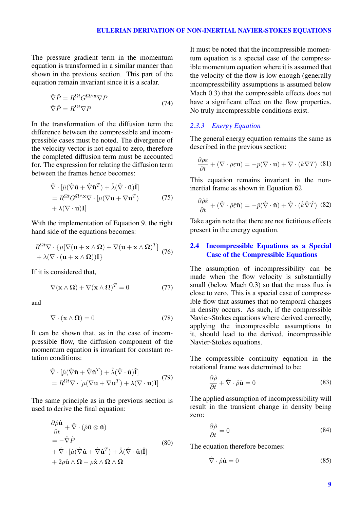The pressure gradient term in the momentum equation is transformed in a similar manner than shown in the previous section. This part of the equation remain invariant since it is a scalar.

$$
\hat{\nabla}\hat{P} = R^{\Omega t} G^{\Omega \wedge \mathbf{x}} \nabla P
$$
\n
$$
\hat{\nabla}\hat{P} = R^{\Omega t} \nabla P
$$
\n(74)

In the transformation of the diffusion term the difference between the compressible and incompressible cases must be noted. The divergence of the velocity vector is not equal to zero, therefore the completed diffusion term must be accounted for. The expression for relating the diffusion term between the frames hence becomes:

$$
\hat{\nabla} \cdot [\hat{\mu} (\hat{\nabla} \hat{\mathbf{u}} + \hat{\nabla} \hat{\mathbf{u}}^T) + \hat{\lambda} (\hat{\nabla} \cdot \hat{\mathbf{u}}) \hat{\mathbf{I}}] \n= R^{\Omega t} G^{\Omega \wedge x} \nabla \cdot [\mu (\nabla \mathbf{u} + \nabla \mathbf{u}^T) \n+ \lambda (\nabla \cdot \mathbf{u}) \mathbf{I}]
$$
\n(75)

With the implementation of Equation 9, the right hand side of the equations becomes:

$$
R^{\Omega t} \nabla \cdot {\mu [\nabla (\mathbf{u} + \mathbf{x} \wedge \mathbf{\Omega}) + \nabla (\mathbf{u} + \mathbf{x} \wedge \mathbf{\Omega})^T ] \n+ \lambda (\nabla \cdot (\mathbf{u} + \mathbf{x} \wedge \mathbf{\Omega})) \mathbf{I} }
$$
(76)

If it is considered that,

$$
\nabla(\mathbf{x} \wedge \mathbf{\Omega}) + \nabla(\mathbf{x} \wedge \mathbf{\Omega})^T = 0 \tag{77}
$$

and

$$
\nabla \cdot (\mathbf{x} \wedge \mathbf{\Omega}) = 0 \tag{78}
$$

It can be shown that, as in the case of incompressible flow, the diffusion component of the momentum equation is invariant for constant rotation conditions:

$$
\hat{\nabla} \cdot \left[ \hat{\mu} (\hat{\nabla} \hat{\mathbf{u}} + \hat{\nabla} \hat{\mathbf{u}}^T) + \hat{\lambda} (\hat{\nabla} \cdot \hat{\mathbf{u}}) \hat{\mathbf{I}} \right] \n= R^{\Omega t} \nabla \cdot \left[ \mu (\nabla \mathbf{u} + \nabla \mathbf{u}^T) + \lambda (\nabla \cdot \mathbf{u}) \mathbf{I} \right] \tag{79}
$$

The same principle as in the previous section is used to derive the final equation:

$$
\frac{\partial \hat{\rho}\hat{\mathbf{u}}}{\partial t} + \hat{\nabla} \cdot (\hat{\rho}\hat{\mathbf{u}} \otimes \hat{\mathbf{u}}) \n= -\hat{\nabla}\hat{P} \n+ \hat{\nabla} \cdot [\hat{\mu}(\hat{\nabla}\hat{\mathbf{u}} + \hat{\nabla}\hat{\mathbf{u}}^T) + \hat{\lambda}(\hat{\nabla} \cdot \hat{\mathbf{u}})\hat{\mathbf{I}}] \n+ 2\rho \hat{\mathbf{u}} \wedge \mathbf{\Omega} - \rho \hat{\mathbf{x}} \wedge \mathbf{\Omega} \wedge \mathbf{\Omega}
$$
\n(80)

It must be noted that the incompressible momentum equation is a special case of the compressible momentum equation where it is assumed that the velocity of the flow is low enough (generally incompressibility assumptions is assumed below Mach 0.3) that the compressible effects does not have a significant effect on the flow properties. No truly incompressible conditions exist.

## *2.3.3 Energy Equation*

The general energy equation remains the same as described in the previous section:

$$
\frac{\partial \rho \varepsilon}{\partial t} + (\nabla \cdot \rho \varepsilon \mathbf{u}) = -p(\nabla \cdot \mathbf{u}) + \nabla \cdot (k \nabla T) \tag{81}
$$

This equation remains invariant in the noninertial frame as shown in Equation 62

$$
\frac{\partial \hat{\rho}\hat{\varepsilon}}{\partial t} + (\hat{\nabla} \cdot \hat{\rho}\hat{\varepsilon}\mathbf{\hat{u}}) = -\hat{p}(\hat{\nabla} \cdot \mathbf{\hat{u}}) + \hat{\nabla} \cdot (\hat{k}\hat{\nabla}\hat{T}) \tag{82}
$$

Take again note that there are not fictitious effects present in the energy equation.

## 2.4 Incompressible Equations as a Special Case of the Compressible Equations

The assumption of incompressibility can be made when the flow velocity is substantially small (below Mach 0.3) so that the mass flux is close to zero. This is a special case of compressible flow that assumes that no temporal changes in density occurs. As such, if the compressible Navier-Stokes equations where derived correctly, applying the incompressible assumptions to it, should lead to the derived, incompressible Navier-Stokes equations.

The compressible continuity equation in the rotational frame was determined to be:

$$
\frac{\partial \hat{\rho}}{\partial t} + \hat{\nabla} \cdot \hat{\rho} \hat{\mathbf{u}} = 0 \tag{83}
$$

The applied assumption of incompressibility will result in the transient change in density being zero:

$$
\frac{\partial \hat{\rho}}{\partial t} = 0 \tag{84}
$$

The equation therefore becomes:

$$
\hat{\nabla} \cdot \hat{\rho} \hat{\mathbf{u}} = 0 \tag{85}
$$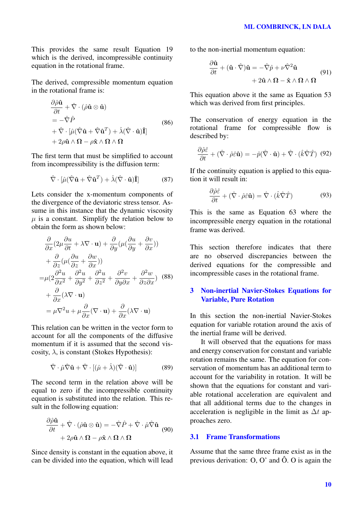This provides the same result Equation 19 which is the derived, incompressible continuity equation in the rotational frame.

The derived, compressible momentum equation in the rotational frame is:

$$
\frac{\partial \hat{\rho}\hat{\mathbf{u}}}{\partial t} + \hat{\nabla} \cdot (\hat{\rho}\hat{\mathbf{u}} \otimes \hat{\mathbf{u}}) \n= -\hat{\nabla}\hat{P} \n+ \hat{\nabla} \cdot [\hat{\mu}(\hat{\nabla}\hat{\mathbf{u}} + \hat{\nabla}\hat{\mathbf{u}}^T) + \hat{\lambda}(\hat{\nabla} \cdot \hat{\mathbf{u}})\hat{\mathbf{I}}] \n+ 2\rho \hat{\mathbf{u}} \wedge \mathbf{\Omega} - \rho \hat{\mathbf{x}} \wedge \mathbf{\Omega} \wedge \mathbf{\Omega}
$$
\n(86)

The first term that must be simplified to account from incompressibility is the diffusion term:

$$
\hat{\nabla} \cdot [\hat{\mu} (\hat{\nabla} \hat{\mathbf{u}} + \hat{\nabla} \hat{\mathbf{u}}^T) + \hat{\lambda} (\hat{\nabla} \cdot \hat{\mathbf{u}}) \hat{\mathbf{I}} ] \tag{87}
$$

Lets consider the x-momentum components of the divergence of the deviatoric stress tensor. Assume in this instance that the dynamic viscosity  $\mu$  is a constant. Simplify the relation below to obtain the form as shown below:

$$
\frac{\partial}{\partial x}(2\mu \frac{\partial u}{\partial t} + \lambda \nabla \cdot \mathbf{u}) + \frac{\partial}{\partial y}(\mu(\frac{\partial u}{\partial y} + \frac{\partial v}{\partial x}))
$$
\n
$$
+ \frac{\partial}{\partial z}(\mu(\frac{\partial u}{\partial z} + \frac{\partial w}{\partial x}))
$$
\n
$$
= \mu(2\frac{\partial^2 u}{\partial x^2} + \frac{\partial^2 u}{\partial y^2} + \frac{\partial^2 u}{\partial z^2} + \frac{\partial^2 v}{\partial y \partial x} + \frac{\partial^2 w}{\partial z \partial x})
$$
\n
$$
+ \frac{\partial}{\partial x}(\lambda \nabla \cdot \mathbf{u})
$$
\n
$$
= \mu \nabla^2 u + \mu \frac{\partial}{\partial x}(\nabla \cdot \mathbf{u}) + \frac{\partial}{\partial x}(\lambda \nabla \cdot \mathbf{u})
$$

This relation can be written in the vector form to account for all the components of the diffusive momentum if it is assumed that the second viscosity,  $\lambda$ , is constant (Stokes Hypothesis):

$$
\hat{\nabla} \cdot \hat{\mu} \hat{\nabla} \hat{\mathbf{u}} + \hat{\nabla} \cdot [(\hat{\mu} + \hat{\lambda})(\hat{\nabla} \cdot \hat{\mathbf{u}})] \tag{89}
$$

The second term in the relation above will be equal to zero if the incompressible continuity equation is substituted into the relation. This result in the following equation:

$$
\frac{\partial \hat{\rho} \hat{\mathbf{u}}}{\partial t} + \hat{\nabla} \cdot (\hat{\rho} \hat{\mathbf{u}} \otimes \hat{\mathbf{u}}) = -\hat{\nabla} \hat{P} + \hat{\nabla} \cdot \hat{\mu} \hat{\nabla} \hat{\mathbf{u}} \tag{90} + 2\rho \hat{\mathbf{u}} \wedge \mathbf{\Omega} - \rho \hat{\mathbf{x}} \wedge \mathbf{\Omega} \wedge \mathbf{\Omega}
$$

Since density is constant in the equation above, it can be divided into the equation, which will lead to the non-inertial momentum equation:

$$
\frac{\partial \hat{\mathbf{u}}}{\partial t} + (\hat{\mathbf{u}} \cdot \hat{\nabla}) \hat{\mathbf{u}} = -\hat{\nabla} \hat{p} + \nu \hat{\nabla}^2 \hat{\mathbf{u}} + 2\hat{\mathbf{u}} \wedge \mathbf{\Omega} - \hat{\mathbf{x}} \wedge \mathbf{\Omega} \wedge \mathbf{\Omega}
$$
(91)

This equation above it the same as Equation 53 which was derived from first principles.

The conservation of energy equation in the rotational frame for compressible flow is described by:

$$
\frac{\partial \hat{\rho}\hat{\varepsilon}}{\partial t} + (\hat{\nabla} \cdot \hat{\rho}\hat{\varepsilon}\mathbf{\hat{u}}) = -\hat{p}(\hat{\nabla} \cdot \mathbf{\hat{u}}) + \hat{\nabla} \cdot (\hat{k}\hat{\nabla}\hat{T}) \tag{92}
$$

If the continuity equation is applied to this equation it will result in:

$$
\frac{\partial \hat{\rho}\hat{\varepsilon}}{\partial t} + (\hat{\nabla} \cdot \hat{\rho}\hat{\varepsilon}\hat{\mathbf{u}}) = \hat{\nabla} \cdot (\hat{k}\hat{\nabla}\hat{T})
$$
(93)

This is the same as Equation 63 where the incompressible energy equation in the rotational frame was derived.

This section therefore indicates that there are no observed discrepancies between the derived equations for the compressible and incompressible cases in the rotational frame.

# 3 Non-inertial Navier-Stokes Equations for Variable, Pure Rotation

In this section the non-inertial Navier-Stokes equation for variable rotation around the axis of the inertial frame will be derived.

It will observed that the equations for mass and energy conservation for constant and variable rotation remains the same. The equation for conservation of momentum has an additional term to account for the variability in rotation. It will be shown that the equations for constant and variable rotational acceleration are equivalent and that all additional terms due to the changes in acceleration is negligible in the limit as  $\Delta t$  approaches zero.

# 3.1 Frame Transformations

Assume that the same three frame exist as in the previous derivation: O, O' and Ô. O is again the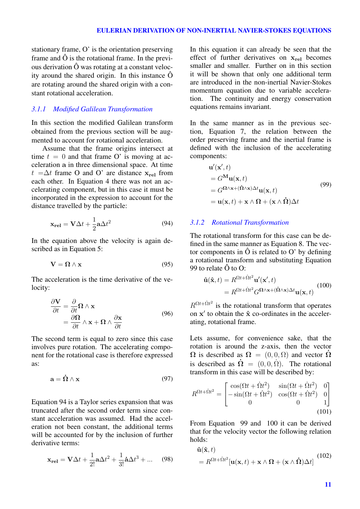stationary frame, O' is the orientation preserving frame and  $\hat{O}$  is the rotational frame. In the previous derivation Ô was rotating at a constant velocity around the shared origin. In this instance Ô are rotating around the shared origin with a constant rotational acceleration.

## *3.1.1 Modified Galilean Transformation*

In this section the modified Galilean transform obtained from the previous section will be augmented to account for rotational acceleration.

Assume that the frame origins intersect at time  $t = 0$  and that frame O' is moving at acceleration a in three dimensional space. At time  $t = \Delta t$  frame O and O' are distance  $x_{rel}$  from each other. In Equation 4 there was not an accelerating component, but in this case it must be incorporated in the expression to account for the distance travelled by the particle:

$$
\mathbf{x}_{\text{rel}} = \mathbf{V}\Delta t + \frac{1}{2}\mathbf{a}\Delta t^2
$$
 (94)

In the equation above the velocity is again described as in Equation 5:

$$
V = \Omega \wedge x \tag{95}
$$

The acceleration is the time derivative of the velocity:

$$
\frac{\partial \mathbf{V}}{\partial t} = \frac{\partial}{\partial t} \mathbf{\Omega} \wedge \mathbf{x} \n= \frac{\partial \mathbf{\Omega}}{\partial t} \wedge \mathbf{x} + \mathbf{\Omega} \wedge \frac{\partial \mathbf{x}}{\partial t}
$$
\n(96)

The second term is equal to zero since this case involves pure rotation. The accelerating component for the rotational case is therefore expressed as:

$$
\mathbf{a} = \mathbf{\dot{\Omega}} \wedge \mathbf{x} \tag{97}
$$

Equation 94 is a Taylor series expansion that was truncated after the second order term since constant acceleration was assumed. Had the acceleration not been constant, the additional terms will be accounted for by the inclusion of further derivative terms:

$$
\mathbf{x}_{\text{rel}} = \mathbf{V}\Delta t + \frac{1}{2!}\mathbf{a}\Delta t^2 + \frac{1}{3!}\dot{\mathbf{a}}\Delta t^3 + \dots \quad (98)
$$

In this equation it can already be seen that the effect of further derivatives on  $x_{rel}$  becomes smaller and smaller. Further on in this section it will be shown that only one additional term are introduced in the non-inertial Navier-Stokes momentum equation due to variable acceleration. The continuity and energy conservation equations remains invariant.

In the same manner as in the previous section, Equation 7, the relation between the order preserving frame and the inertial frame is defined with the inclusion of the accelerating components:

$$
\mathbf{u}'(\mathbf{x}',t) = G^{\mathbf{M}} \mathbf{u}(\mathbf{x},t) \n= G^{\mathbf{\Omega} \wedge \mathbf{x} + (\mathbf{\Omega} \wedge \mathbf{x}) \Delta t} \mathbf{u}(\mathbf{x},t) \n= \mathbf{u}(\mathbf{x},t) + \mathbf{x} \wedge \mathbf{\Omega} + (\mathbf{x} \wedge \mathbf{\Omega}) \Delta t
$$
\n(99)

#### *3.1.2 Rotational Transformation*

The rotational transform for this case can be defined in the same manner as Equation 8. The vector components in  $\hat{O}$  is related to  $O'$  by defining a rotational transform and substituting Equation 99 to relate  $\hat{O}$  to  $O$ :

$$
\hat{\mathbf{u}}(\hat{\mathbf{x}},t) = R^{\Omega t + \dot{\Omega}t^2} \mathbf{u}'(\mathbf{x}',t)
$$
  
=  $R^{\Omega t + \dot{\Omega}t^2} G^{\Omega \wedge \mathbf{x} + (\dot{\Omega} \wedge \mathbf{x}) \Delta t} \mathbf{u}(\mathbf{x},t)$  (100)

 $R^{\Omega t + \dot{\Omega} t^2}$  is the rotational transform that operates on  $x'$  to obtain the  $\hat{x}$  co-ordinates in the accelerating, rotational frame.

Lets assume, for convenience sake, that the rotation is around the z-axis, then the vector  $\Omega$  is described as  $\Omega = (0, 0, \Omega)$  and vector  $\Omega$ is described as  $\dot{\Omega} = (0, 0, \dot{\Omega})$ . The rotational transform in this case will be described by:

$$
R^{\Omega t + \dot{\Omega}t^2} = \begin{bmatrix} \cos(\Omega t + \dot{\Omega}t^2) & \sin(\Omega t + \dot{\Omega}t^2) & 0\\ -\sin(\Omega t + \dot{\Omega}t^2) & \cos(\Omega t + \dot{\Omega}t^2) & 0\\ 0 & 0 & 1 \end{bmatrix}
$$
(101)

From Equation 99 and 100 it can be derived that for the velocity vector the following relation holds:

$$
\hat{\mathbf{u}}(\hat{\mathbf{x}},t) = R^{\Omega t + \Omega t^2}[\mathbf{u}(\mathbf{x},t) + \mathbf{x} \wedge \Omega + (\mathbf{x} \wedge \hat{\Omega})\Delta t] \tag{102}
$$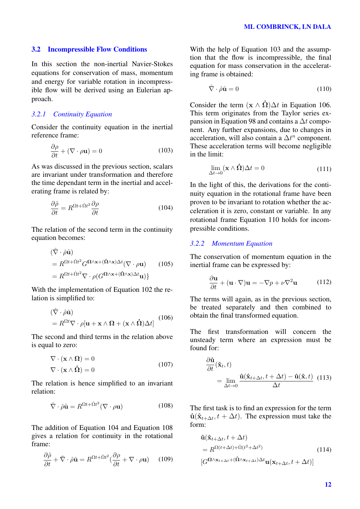## 3.2 Incompressible Flow Conditions

In this section the non-inertial Navier-Stokes equations for conservation of mass, momentum and energy for variable rotation in incompressible flow will be derived using an Eulerian approach.

## *3.2.1 Continuity Equation*

Consider the continuity equation in the inertial reference frame:

$$
\frac{\partial \rho}{\partial t} + (\nabla \cdot \rho \mathbf{u}) = 0 \tag{103}
$$

As was discussed in the previous section, scalars are invariant under transformation and therefore the time dependant term in the inertial and accelerating frame is related by:

$$
\frac{\partial \hat{\rho}}{\partial t} = R^{\Omega t + \dot{\Omega} t^2} \frac{\partial \rho}{\partial t}
$$
(104)

The relation of the second term in the continuity equation becomes:

$$
(\hat{\nabla} \cdot \hat{\rho} \hat{\mathbf{u}})
$$
  
=  $R^{\Omega t + \hat{\Omega} t^2} G^{\Omega \wedge \mathbf{x} + (\hat{\Omega} \wedge \mathbf{x}) \Delta t} (\nabla \cdot \rho \mathbf{u})$  (105)  
=  $R^{\Omega t + \hat{\Omega} t^2} \nabla \cdot \rho (G^{\Omega \wedge \mathbf{x} + (\hat{\Omega} \wedge \mathbf{x}) \Delta t} \mathbf{u})$ }

With the implementation of Equation 102 the relation is simplified to:

$$
(\hat{\nabla} \cdot \hat{\rho} \hat{\mathbf{u}})
$$
  
=  $R^{\Omega t} \nabla \cdot \rho[\mathbf{u} + \mathbf{x} \wedge \mathbf{\Omega} + (\mathbf{x} \wedge \hat{\mathbf{\Omega}}) \Delta t]$  (106)

The second and third terms in the relation above is equal to zero:

$$
\nabla \cdot (\mathbf{x} \wedge \mathbf{\Omega}) = 0
$$
  

$$
\nabla \cdot (\mathbf{x} \wedge \mathbf{\dot{\Omega}}) = 0
$$
 (107)

The relation is hence simplified to an invariant relation:

$$
\hat{\nabla} \cdot \hat{\rho} \hat{\mathbf{u}} = R^{\Omega t + \hat{\Omega} t^2} (\nabla \cdot \rho \mathbf{u}) \tag{108}
$$

The addition of Equation 104 and Equation 108 gives a relation for continuity in the rotational frame:

$$
\frac{\partial \hat{\rho}}{\partial t} + \hat{\nabla} \cdot \hat{\rho} \hat{\mathbf{u}} = R^{\Omega t + \hat{\Omega} t^2} (\frac{\partial \rho}{\partial t} + \nabla \cdot \rho \mathbf{u}) \quad (109)
$$

With the help of Equation 103 and the assumption that the flow is incompressible, the final equation for mass conservation in the accelerating frame is obtained:

$$
\hat{\nabla} \cdot \hat{\rho} \hat{\mathbf{u}} = 0 \tag{110}
$$

Consider the term  $(x \wedge \dot{\Omega})\Delta t$  in Equation 106. This term originates from the Taylor series expansion in Equation 98 and contains a ∆t component. Any further expansions, due to changes in acceleration, will also contain a  $\Delta t^n$  component. These acceleration terms will become negligible in the limit:

$$
\lim_{\Delta t \to 0} (\mathbf{x} \wedge \mathbf{\dot{\Omega}}) \Delta t = 0 \tag{111}
$$

In the light of this, the derivations for the continuity equation in the rotational frame have been proven to be invariant to rotation whether the acceleration it is zero, constant or variable. In any rotational frame Equation 110 holds for incompressible conditions.

#### *3.2.2 Momentum Equation*

 $\partial$ 

The conservation of momentum equation in the inertial frame can be expressed by:

$$
\frac{\partial \mathbf{u}}{\partial t} + (\mathbf{u} \cdot \nabla) \mathbf{u} = -\nabla p + \nu \nabla^2 \mathbf{u}
$$
 (112)

The terms will again, as in the previous section, be treated separately and then combined to obtain the final transformed equation.

The first transformation will concern the unsteady term where an expression must be found for:

$$
\frac{\partial \hat{\mathbf{u}}}{\partial t}(\hat{\mathbf{x}}_t, t)
$$
\n
$$
= \lim_{\Delta t \to 0} \frac{\hat{\mathbf{u}}(\hat{\mathbf{x}}_{t+\Delta t}, t + \Delta t) - \hat{\mathbf{u}}(\hat{\mathbf{x}}, t)}{\Delta t} \tag{113}
$$

The first task is to find an expression for the term  $\hat{\mathbf{u}}(\hat{\mathbf{x}}_{t+\Delta t}, t + \Delta t)$ . The expression must take the form:

$$
\hat{\mathbf{u}}(\hat{\mathbf{x}}_{t+\Delta t}, t + \Delta t) \n= R^{\Omega(t+\Delta t) + \dot{\Omega}(t^2 + \Delta t^2)} \qquad (114)
$$
\n
$$
[G^{\Omega \wedge \mathbf{x}_{t+\Delta t} + (\hat{\Omega} \wedge \mathbf{x}_{t+\Delta t}) \Delta t} \mathbf{u}(\mathbf{x}_{t+\Delta t}, t + \Delta t)]
$$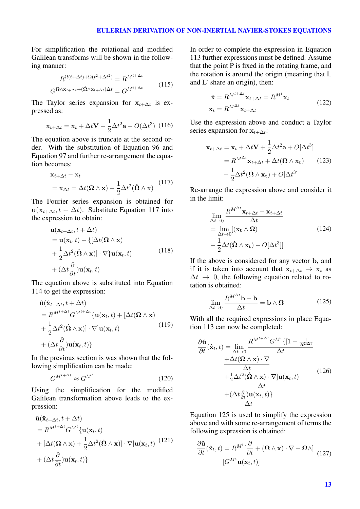For simplification the rotational and modified Galilean transforms will be shown in the following manner:

$$
R^{\Omega(t+\Delta t) + \Omega(t^2 + \Delta t^2)} = R^{M^{t+\Delta t}}
$$
  
\n
$$
G^{\Omega \wedge \mathbf{x}_{t+\Delta t} + (\mathbf{\dot{\Omega}} \wedge \mathbf{x}_{t+\Delta t})\Delta t} = G^{M^{t+\Delta t}}
$$
\n(115)

The Taylor series expansion for  $x_{t+\Delta t}$  is expressed as:

$$
\mathbf{x}_{t+\Delta t} = \mathbf{x}_t + \Delta t \mathbf{V} + \frac{1}{2} \Delta t^2 \mathbf{a} + O(\Delta t^3)
$$
 (116)

The equation above is truncate at the second order. With the substitution of Equation 96 and Equation 97 and further re-arrangement the equation becomes:

$$
\mathbf{x}_{t+\Delta t} - \mathbf{x}_t
$$
  
=  $\mathbf{x}_{\Delta t} = \Delta t (\mathbf{\Omega} \wedge \mathbf{x}) + \frac{1}{2} \Delta t^2 (\dot{\mathbf{\Omega}} \wedge \mathbf{x})$  (117)

The Fourier series expansion is obtained for  $\mathbf{u}(\mathbf{x}_{t+\Delta t}, t + \Delta t)$ . Substitute Equation 117 into the expression to obtain:

$$
\mathbf{u}(\mathbf{x}_{t+\Delta t}, t + \Delta t) \n= \mathbf{u}(\mathbf{x}_t, t) + \{[\Delta t(\mathbf{\Omega} \wedge \mathbf{x})] + \frac{1}{2}\Delta t^2(\dot{\mathbf{\Omega}} \wedge \mathbf{x})] \cdot \nabla\} \mathbf{u}(\mathbf{x}_t, t) \n+ (\Delta t \frac{\partial}{\partial t}) \mathbf{u}(\mathbf{x}_t, t)
$$
\n(118)

The equation above is substituted into Equation 114 to get the expression:

$$
\hat{\mathbf{u}}(\hat{\mathbf{x}}_{t+\Delta t}, t + \Delta t) \n= R^{M^{t+\Delta t}} G^{M^{t+\Delta t}} \{ \mathbf{u}(\mathbf{x}_t, t) + [\Delta t(\mathbf{\Omega} \wedge \mathbf{x}) \n+ \frac{1}{2} \Delta t^2 (\dot{\mathbf{\Omega}} \wedge \mathbf{x})] \cdot \nabla \} \mathbf{u}(\mathbf{x}_t, t) \n+ (\Delta t \frac{\partial}{\partial t}) \mathbf{u}(\mathbf{x}_t, t) \}
$$
\n(119)

In the previous section is was shown that the following simplification can be made:

$$
G^{M^{t+\Delta t}} \approx G^{M^t} \tag{120}
$$

Using the simplification for the modified Galilean transformation above leads to the expression:

$$
\hat{\mathbf{u}}(\hat{\mathbf{x}}_{t+\Delta t}, t + \Delta t) \n= R^{M^{t+\Delta t}} G^{M^t} {\mathbf{u}}(\mathbf{x}_t, t) \n+ [\Delta t(\mathbf{\Omega} \wedge \mathbf{x}) + \frac{1}{2} \Delta t^2 (\hat{\mathbf{\Omega}} \wedge \mathbf{x})] \cdot \nabla] \mathbf{u}(\mathbf{x}_t, t)
$$
\n
$$
+ (\Delta t \frac{\partial}{\partial t}) \mathbf{u}(\mathbf{x}_t, t) \}
$$
\n(121)

In order to complete the expression in Equation 113 further expressions must be defined. Assume that the point  $\overline{P}$  is fixed in the rotating frame, and the rotation is around the origin (meaning that L and L' share an origin), then:

$$
\hat{\mathbf{x}} = R^{M^{t+\Delta t}} \mathbf{x}_{t+\Delta t} = R^{M^t} \mathbf{x}_t
$$
\n
$$
\mathbf{x}_t = R^{M^{\Delta t}} \mathbf{x}_{t+\Delta t}
$$
\n(122)

Use the expression above and conduct a Taylor series expansion for  $x_{t+\Delta t}$ :

$$
\mathbf{x}_{t+\Delta t} = \mathbf{x}_t + \Delta t \mathbf{V} + \frac{1}{2} \Delta t^2 \mathbf{a} + O[\Delta t^3]
$$
  
=  $R^{M^{\Delta t}} \mathbf{x}_{t+\Delta t} + \Delta t (\mathbf{\Omega} \wedge \mathbf{x}_t)$  (123)  
+  $\frac{1}{2} \Delta t^2 (\dot{\mathbf{\Omega}} \wedge \mathbf{x}_t) + O[\Delta t^3]$ 

Re-arrange the expression above and consider it in the limit:

$$
\lim_{\Delta t \to 0} \frac{R^{M^{\Delta t}} \mathbf{x}_{t + \Delta t} - \mathbf{x}_{t + \Delta t}}{\Delta t}
$$
\n
$$
= \lim_{\Delta t \to 0} [(\mathbf{x_t} \wedge \mathbf{\Omega})
$$
\n
$$
- \frac{1}{2} \Delta t (\dot{\mathbf{\Omega}} \wedge \mathbf{x_t}) - O[\Delta t^3]]
$$
\n(124)

If the above is considered for any vector b, and if it is taken into account that  $x_{t+\Delta t} \rightarrow x_t$  as  $\Delta t \rightarrow 0$ , the following equation related to rotation is obtained:

$$
\lim_{\Delta t \to 0} \frac{R^{M^{\Delta t}} \mathbf{b} - \mathbf{b}}{\Delta t} = \mathbf{b} \wedge \mathbf{\Omega}
$$
 (125)

With all the required expressions in place Equation 113 can now be completed:

$$
\frac{\partial \hat{\mathbf{u}}}{\partial t}(\hat{\mathbf{x}}_t, t) = \lim_{\Delta t \to 0} \frac{R^{M^{t + \Delta t}} G^{M^t} \{ [1 - \frac{1}{R^{\Omega \Delta t}} \times (R + \Delta t) \cdot \nabla \mathbf{u}) \Delta t} \Delta t}{\Delta t} + \frac{\Delta t (\mathbf{\Omega} \wedge \mathbf{x}) \cdot \nabla \mathbf{u}(\mathbf{x}_t, t)}{\Delta t} + (\Delta t \frac{\partial}{\partial t}) \mathbf{u}(\mathbf{x}_t, t) \Delta t}
$$
\n(126)

Equation 125 is used to simplify the expression above and with some re-arrangement of terms the following expression is obtained:

$$
\frac{\partial \hat{\mathbf{u}}}{\partial t}(\hat{\mathbf{x}}_t, t) = R^{M^t} \left[ \frac{\partial}{\partial t} + (\mathbf{\Omega} \wedge \mathbf{x}) \cdot \nabla - \mathbf{\Omega} \wedge \right]
$$
\n
$$
\left[ G^{M^t} \mathbf{u}(\mathbf{x}_t, t) \right]
$$
\n(127)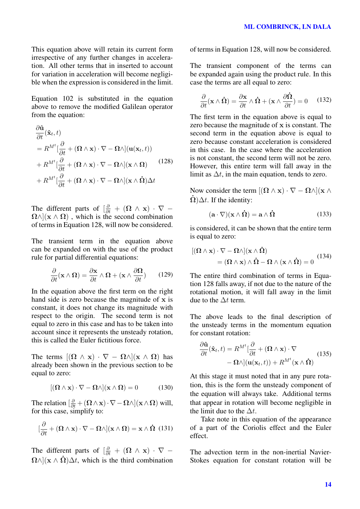This equation above will retain its current form irrespective of any further changes in acceleration. All other terms that in inserted to account for variation in acceleration will become negligible when the expression is considered in the limit.

Equation 102 is substituted in the equation above to remove the modified Galilean operator from the equation:

$$
\frac{\partial \hat{\mathbf{u}}}{\partial t}(\hat{\mathbf{x}}_t, t) \n= R^{M^t} \left[ \frac{\partial}{\partial t} + (\mathbf{\Omega} \wedge \mathbf{x}) \cdot \nabla - \mathbf{\Omega} \wedge \right] (\mathbf{u}(\mathbf{x}_t, t)) \n+ R^{M^t} \left[ \frac{\partial}{\partial t} + (\mathbf{\Omega} \wedge \mathbf{x}) \cdot \nabla - \mathbf{\Omega} \wedge \right] (\mathbf{x} \wedge \mathbf{\Omega}) \qquad (128) \n+ R^{M^t} \left[ \frac{\partial}{\partial t} + (\mathbf{\Omega} \wedge \mathbf{x}) \cdot \nabla - \mathbf{\Omega} \wedge \right] (\mathbf{x} \wedge \mathbf{\Omega}) \Delta t
$$

The different parts of  $\left[\frac{\partial}{\partial t} + (\mathbf{\Omega} \wedge \mathbf{x}) \cdot \nabla\right]$  $\Omega \wedge$ ]( $\mathbf{x} \wedge \Omega$ ), which is the second combination of terms in Equation 128, will now be considered.

The transient term in the equation above can be expanded on with the use of the product rule for partial differential equations:

$$
\frac{\partial}{\partial t}(\mathbf{x} \wedge \mathbf{\Omega}) = \frac{\partial \mathbf{x}}{\partial t} \wedge \mathbf{\Omega} + (\mathbf{x} \wedge \frac{\partial \mathbf{\Omega}}{\partial t}) \qquad (129)
$$

In the equation above the first term on the right hand side is zero because the magnitude of x is constant, it does not change its magnitude with respect to the origin. The second term is not equal to zero in this case and has to be taken into account since it represents the unsteady rotation, this is called the Euler fictitious force.

The terms  $[(\Omega \wedge x) \cdot \nabla - \Omega \wedge](x \wedge \Omega)$  has already been shown in the previous section to be equal to zero:

$$
[(\mathbf{\Omega} \wedge \mathbf{x}) \cdot \nabla - \mathbf{\Omega} \wedge ](\mathbf{x} \wedge \mathbf{\Omega}) = 0 \tag{130}
$$

The relation  $\left[\frac{\partial}{\partial t} + (\mathbf{\Omega} \wedge \mathbf{x}) \cdot \nabla - \mathbf{\Omega} \wedge \right] (\mathbf{x} \wedge \mathbf{\Omega})$  will, for this case, simplify to:

$$
[\frac{\partial}{\partial t} + (\mathbf{\Omega} \wedge \mathbf{x}) \cdot \nabla - \mathbf{\Omega} \wedge ](\mathbf{x} \wedge \mathbf{\Omega}) = \mathbf{x} \wedge \mathbf{\Omega} \quad (131)
$$

The different parts of  $\left[\frac{\partial}{\partial t} + (\mathbf{\Omega} \wedge \mathbf{x}) \cdot \nabla - \right]$  $\Omega \wedge$ ]( $\mathbf{x} \wedge \mathbf{\dot{\Omega}}$ ) $\Delta t$ , which is the third combination of terms in Equation 128, will now be considered.

The transient component of the terms can be expanded again using the product rule. In this case the terms are all equal to zero:

$$
\frac{\partial}{\partial t}(\mathbf{x} \wedge \mathbf{\dot{\Omega}}) = \frac{\partial \mathbf{x}}{\partial t} \wedge \mathbf{\dot{\Omega}} + (\mathbf{x} \wedge \frac{\partial \mathbf{\dot{\Omega}}}{\partial t}) = 0 \quad (132)
$$

The first term in the equation above is equal to zero because the magnitude of x is constant. The second term in the equation above is equal to zero because constant acceleration is considered in this case. In the case where the acceleration is not constant, the second term will not be zero. However, this entire term will fall away in the limit as  $\Delta t$ , in the main equation, tends to zero.

Now consider the term  $[(\Omega \wedge x) \cdot \nabla - \Omega \wedge](x \wedge y)$  $\dot{\Omega}$ ) $\Delta t$ . If the identity:

$$
(\mathbf{a} \cdot \nabla)(\mathbf{x} \wedge \mathbf{\dot{\Omega}}) = \mathbf{a} \wedge \mathbf{\dot{\Omega}} \tag{133}
$$

is considered, it can be shown that the entire term is equal to zero:

$$
[(\mathbf{\Omega} \wedge \mathbf{x}) \cdot \nabla - \mathbf{\Omega} \wedge ](\mathbf{x} \wedge \mathbf{\dot{\Omega}})
$$
  
=  $(\mathbf{\Omega} \wedge \mathbf{x}) \wedge \mathbf{\dot{\Omega}} - \mathbf{\Omega} \wedge (\mathbf{x} \wedge \mathbf{\dot{\Omega}}) = 0$  (134)

The entire third combination of terms in Equation 128 falls away, if not due to the nature of the rotational motion, it will fall away in the limit due to the  $\Delta t$  term.

The above leads to the final description of the unsteady terms in the momentum equation for constant rotation:

$$
\frac{\partial \hat{\mathbf{u}}}{\partial t}(\hat{\mathbf{x}}_t, t) = R^{M^t} \left[ \frac{\partial}{\partial t} + (\mathbf{\Omega} \wedge \mathbf{x}) \cdot \nabla - \mathbf{\Omega} \wedge \right] (\mathbf{u}(\mathbf{x}_t, t)) + R^{M^t}(\mathbf{x} \wedge \hat{\mathbf{\Omega}})
$$
(135)

At this stage it must noted that in any pure rotation, this is the form the unsteady component of the equation will always take. Additional terms that appear in rotation will become negligible in the limit due to the  $\Delta t$ .

Take note in this equation of the appearance of a part of the Coriolis effect and the Euler effect.

The advection term in the non-inertial Navier-Stokes equation for constant rotation will be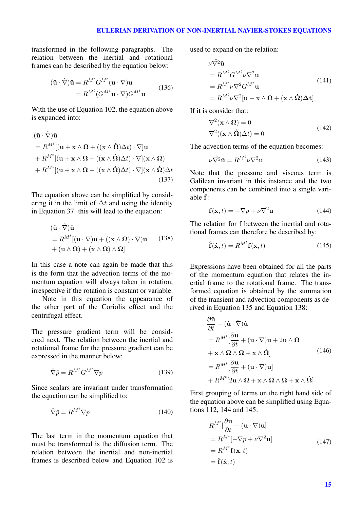transformed in the following paragraphs. The relation between the inertial and rotational frames can be described by the equation below:

$$
(\hat{\mathbf{u}} \cdot \hat{\nabla})\hat{\mathbf{u}} = R^{M^t} G^{M^t} (\mathbf{u} \cdot \nabla) \mathbf{u}
$$
  
=  $R^{M^t} (G^{M^t} \mathbf{u} \cdot \nabla) G^{M^t} \mathbf{u}$  (136)

With the use of Equation 102, the equation above is expanded into:

$$
(\hat{\mathbf{u}} \cdot \hat{\nabla})\hat{\mathbf{u}}= R^{M^{t}}[(\mathbf{u} + \mathbf{x} \wedge \mathbf{\Omega} + ((\mathbf{x} \wedge \hat{\mathbf{\Omega}})\Delta t) \cdot \nabla]\mathbf{u}+ R^{M^{t}}[(\mathbf{u} + \mathbf{x} \wedge \mathbf{\Omega} + ((\mathbf{x} \wedge \hat{\mathbf{\Omega}})\Delta t) \cdot \nabla](\mathbf{x} \wedge \mathbf{\Omega})+ R^{M^{t}}[(\mathbf{u} + \mathbf{x} \wedge \mathbf{\Omega} + ((\mathbf{x} \wedge \hat{\mathbf{\Omega}})\Delta t) \cdot \nabla](\mathbf{x} \wedge \hat{\mathbf{\Omega}})\Delta t
$$
\n(137)

The equation above can be simplified by considering it in the limit of  $\Delta t$  and using the identity in Equation 37. this will lead to the equation:

$$
(\hat{\mathbf{u}} \cdot \hat{\nabla})\hat{\mathbf{u}}= R^{M^{t}}[(\mathbf{u} \cdot \nabla)\mathbf{u} + ((\mathbf{x} \wedge \mathbf{\Omega}) \cdot \nabla)\mathbf{u} \qquad (138)+ (\mathbf{u} \wedge \mathbf{\Omega}) + (\mathbf{x} \wedge \mathbf{\Omega}) \wedge \mathbf{\Omega}]
$$

In this case a note can again be made that this is the form that the advection terms of the momentum equation will always taken in rotation, irrespective if the rotation is constant or variable.

Note in this equation the appearance of the other part of the Coriolis effect and the centrifugal effect.

The pressure gradient term will be considered next. The relation between the inertial and rotational frame for the pressure gradient can be expressed in the manner below:

$$
\hat{\nabla}\hat{p} = R^{M^t} G^{M^t} \nabla p \tag{139}
$$

Since scalars are invariant under transformation the equation can be simplified to:

$$
\hat{\nabla}\hat{p} = R^{M^t} \nabla p \tag{140}
$$

The last term in the momentum equation that must be transformed is the diffusion term. The relation between the inertial and non-inertial frames is described below and Equation 102 is

used to expand on the relation:

$$
\nu \hat{\nabla}^2 \hat{\mathbf{u}} \n= R^{M^t} G^{M^t} \nu \nabla^2 \mathbf{u} \n= R^{M^t} \nu \nabla^2 G^{M^t} \mathbf{u} \n= R^{M^t} \nu \nabla^2 [\mathbf{u} + \mathbf{x} \wedge \mathbf{\Omega} + (\mathbf{x} \wedge \hat{\mathbf{\Omega}}) \Delta \mathbf{t}]
$$
\n(141)

If it is consider that:

$$
\nabla^2(\mathbf{x} \wedge \mathbf{\Omega}) = 0
$$
  

$$
\nabla^2((\mathbf{x} \wedge \mathbf{\Omega})\Delta t) = 0
$$
 (142)

The advection terms of the equation becomes:

$$
\nu \hat{\nabla}^2 \hat{\mathbf{u}} = R^{M^t} \nu \nabla^2 \mathbf{u}
$$
 (143)

Note that the pressure and viscous term is Galilean invariant in this instance and the two components can be combined into a single variable f:

$$
\mathbf{f}(\mathbf{x},t) = -\nabla p + \nu \nabla^2 \mathbf{u} \tag{144}
$$

The relation for f between the inertial and rotational frames can therefore be described by:

$$
\hat{\mathbf{f}}(\hat{\mathbf{x}},t) = R^{M^t} \mathbf{f}(\mathbf{x},t)
$$
\n(145)

Expressions have been obtained for all the parts of the momentum equation that relates the inertial frame to the rotational frame. The transformed equation is obtained by the summation of the transient and advection components as derived in Equation 135 and Equation 138:

$$
\frac{\partial \hat{\mathbf{u}}}{\partial t} + (\hat{\mathbf{u}} \cdot \hat{\nabla}) \hat{\mathbf{u}} \n= R^{M^t} [\frac{\partial \mathbf{u}}{\partial t} + (\mathbf{u} \cdot \nabla) \mathbf{u} + 2 \mathbf{u} \wedge \Omega \n+ \mathbf{x} \wedge \Omega \wedge \Omega + \mathbf{x} \wedge \hat{\Omega}]
$$
\n(146)\n
$$
= R^{M^t} [\frac{\partial \mathbf{u}}{\partial t} + (\mathbf{u} \cdot \nabla) \mathbf{u}] \n+ R^{M^t} [2 \mathbf{u} \wedge \Omega + \mathbf{x} \wedge \Omega \wedge \Omega + \mathbf{x} \wedge \hat{\Omega}]
$$

First grouping of terms on the right hand side of the equation above can be simplified using Equations 112, 144 and 145:

$$
R^{M^{t}}[\frac{\partial \mathbf{u}}{\partial t} + (\mathbf{u} \cdot \nabla)\mathbf{u}]
$$
  
=  $R^{M^{t}}[-\nabla p + \nu \nabla^{2}\mathbf{u}]$   
=  $R^{M^{t}}\mathbf{f}(\mathbf{x}, t)$   
=  $\hat{\mathbf{f}}(\hat{\mathbf{x}}, t)$  (147)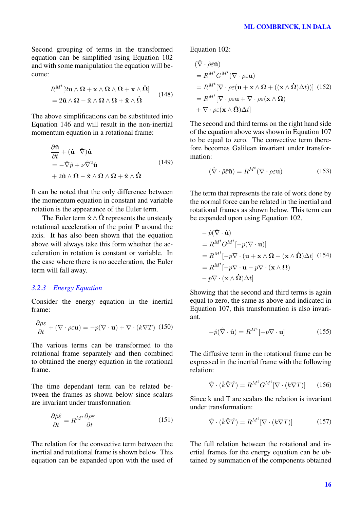Second grouping of terms in the transformed equation can be simplified using Equation 102 and with some manipulation the equation will become:

$$
R^{Mt} [2\mathbf{u} \wedge \mathbf{\Omega} + \mathbf{x} \wedge \mathbf{\Omega} \wedge \mathbf{\Omega} + \mathbf{x} \wedge \mathbf{\dot{\Omega}}] = 2\mathbf{\hat{u}} \wedge \mathbf{\Omega} - \mathbf{\hat{x}} \wedge \mathbf{\Omega} \wedge \mathbf{\Omega} + \mathbf{\hat{x}} \wedge \mathbf{\dot{\Omega}} \qquad (148)
$$

The above simplifications can be substituted into Equation 146 and will result in the non-inertial momentum equation in a rotational frame:

$$
\frac{\partial \hat{\mathbf{u}}}{\partial t} + (\hat{\mathbf{u}} \cdot \hat{\nabla}) \hat{\mathbf{u}} \n= -\hat{\nabla} \hat{p} + \nu \hat{\nabla}^2 \hat{\mathbf{u}} \n+ 2\hat{\mathbf{u}} \wedge \Omega - \hat{\mathbf{x}} \wedge \Omega \wedge \Omega + \hat{\mathbf{x}} \wedge \hat{\Omega}
$$
\n(149)

It can be noted that the only difference between the momentum equation in constant and variable rotation is the appearance of the Euler term.

The Euler term  $\hat{\mathbf{x}} \wedge \hat{\mathbf{\Omega}}$  represents the unsteady rotational acceleration of the point P around the axis. It has also been shown that the equation above will always take this form whether the acceleration in rotation is constant or variable. In the case where there is no acceleration, the Euler term will fall away.

## *3.2.3 Energy Equation*

Consider the energy equation in the inertial frame:

$$
\frac{\partial \rho \varepsilon}{\partial t} + (\nabla \cdot \rho \varepsilon \mathbf{u}) = -p(\nabla \cdot \mathbf{u}) + \nabla \cdot (k \nabla T) \tag{150}
$$

The various terms can be transformed to the rotational frame separately and then combined to obtained the energy equation in the rotational frame.

The time dependant term can be related between the frames as shown below since scalars are invariant under transformation:

$$
\frac{\partial \hat{\rho}\hat{\varepsilon}}{\partial t} = R^{M^t} \frac{\partial \rho \varepsilon}{\partial t}
$$
 (151)

The relation for the convective term between the inertial and rotational frame is shown below. This equation can be expanded upon with the used of Equation 102:

$$
(\hat{\nabla} \cdot \hat{\rho} \hat{\varepsilon} \hat{\mathbf{u}})
$$
  
=  $R^{M^t} G^{M^t} (\nabla \cdot \rho \varepsilon \mathbf{u})$   
=  $R^{M^t} [\nabla \cdot \rho \varepsilon (\mathbf{u} + \mathbf{x} \wedge \mathbf{\Omega} + ((\mathbf{x} \wedge \mathbf{\Omega}) \Delta t))] (152)$   
=  $R^{M^t} [\nabla \cdot \rho \varepsilon \mathbf{u} + \nabla \cdot \rho \varepsilon (\mathbf{x} \wedge \mathbf{\Omega})$   
+  $\nabla \cdot \rho \varepsilon (\mathbf{x} \wedge \mathbf{\Omega}) \Delta t]$ 

The second and third terms on the right hand side of the equation above was shown in Equation 107 to be equal to zero. The convective term therefore becomes Galilean invariant under transformation:

$$
(\hat{\nabla} \cdot \hat{\rho} \hat{\varepsilon} \hat{\mathbf{u}}) = R^{M^t} (\nabla \cdot \rho \varepsilon \mathbf{u})
$$
 (153)

The term that represents the rate of work done by the normal force can be related in the inertial and rotational frames as shown below. This term can be expanded upon using Equation 102.

$$
- \hat{p}(\hat{\nabla} \cdot \hat{\mathbf{u}})
$$
  
=  $R^{M^t} G^{M^t} [-p(\nabla \cdot \mathbf{u})]$   
=  $R^{M^t} [-p\nabla \cdot (\mathbf{u} + \mathbf{x} \wedge \mathbf{\Omega} + (\mathbf{x} \wedge \hat{\mathbf{\Omega}}) \Delta t]$  (154)  
=  $R^{M^t} [-p\nabla \cdot \mathbf{u} - p\nabla \cdot (\mathbf{x} \wedge \mathbf{\Omega})$   
-  $p\nabla \cdot (\mathbf{x} \wedge \hat{\mathbf{\Omega}}) \Delta t]$ 

Showing that the second and third terms is again equal to zero, the same as above and indicated in Equation 107, this transformation is also invariant.

$$
-\hat{p}(\hat{\nabla} \cdot \hat{\mathbf{u}}) = R^{M^t}[-p \nabla \cdot \mathbf{u}]
$$
 (155)

The diffusive term in the rotational frame can be expressed in the inertial frame with the following relation:

$$
\hat{\nabla} \cdot (\hat{k}\hat{\nabla}\hat{T}) = R^{M^t} G^{M^t} [\nabla \cdot (k\nabla T)] \qquad (156)
$$

Since k and T are scalars the relation is invariant under transformation:

$$
\hat{\nabla} \cdot (\hat{k}\hat{\nabla}\hat{T}) = R^{M^t} [\nabla \cdot (k\nabla T)] \tag{157}
$$

The full relation between the rotational and inertial frames for the energy equation can be obtained by summation of the components obtained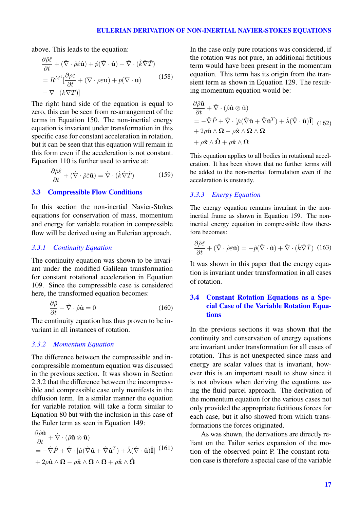## EULERIAN DERIVATION OF NON-INERTIAL NAVIER-STOKES EQUATIONS

above. This leads to the equation:

 $\sim$   $\sim$   $\sim$ 

$$
\frac{\partial \hat{\rho}\hat{\varepsilon}}{\partial t} + (\hat{\nabla} \cdot \hat{\rho}\hat{\varepsilon}\hat{\mathbf{u}}) + \hat{p}(\hat{\nabla} \cdot \hat{\mathbf{u}}) - \hat{\nabla} \cdot (\hat{k}\hat{\nabla}\hat{T})
$$
  
=  $R^{M^t} \left[ \frac{\partial \rho \varepsilon}{\partial t} + (\nabla \cdot \rho \varepsilon \mathbf{u}) + p(\nabla \cdot \mathbf{u}) \right]$  (158)  
-  $\nabla \cdot (k\nabla T)$ 

The right hand side of the equation is equal to zero, this can be seen from re-arrangement of the terms in Equation 150. The non-inertial energy equation is invariant under transformation in this specific case for constant acceleration in rotation, but it can be seen that this equation will remain in this form even if the acceleration is not constant. Equation 110 is further used to arrive at:

$$
\frac{\partial \hat{\rho}\hat{\varepsilon}}{\partial t} + (\hat{\nabla} \cdot \hat{\rho}\hat{\varepsilon}\hat{\mathbf{u}}) = \hat{\nabla} \cdot (\hat{k}\hat{\nabla}\hat{T})
$$
(159)

### 3.3 Compressible Flow Conditions

In this section the non-inertial Navier-Stokes equations for conservation of mass, momentum and energy for variable rotation in compressible flow will be derived using an Eulerian approach.

## *3.3.1 Continuity Equation*

The continuity equation was shown to be invariant under the modified Galilean transformation for constant rotational acceleration in Equation 109. Since the compressible case is considered here, the transformed equation becomes:

$$
\frac{\partial \hat{\rho}}{\partial t} + \hat{\nabla} \cdot \hat{\rho} \hat{\mathbf{u}} = 0 \tag{160}
$$

The continuity equation has thus proven to be invariant in all instances of rotation.

#### *3.3.2 Momentum Equation*

 $\theta$   $\theta$   $\theta$   $\theta$ 

The difference between the compressible and incompressible momentum equation was discussed in the previous section. It was shown in Section 2.3.2 that the difference between the incompressible and compressible case only manifests in the diffusion term. In a similar manner the equation for variable rotation will take a form similar to Equation 80 but with the inclusion in this case of the Euler term as seen in Equation 149:

$$
\frac{\partial \hat{\rho} \hat{\mathbf{u}}}{\partial t} + \hat{\nabla} \cdot (\hat{\rho} \hat{\mathbf{u}} \otimes \hat{\mathbf{u}})
$$
  
=  $-\hat{\nabla} \hat{P} + \hat{\nabla} \cdot [\hat{\mu} (\hat{\nabla} \hat{\mathbf{u}} + \hat{\nabla} \hat{\mathbf{u}}^T) + \hat{\lambda} (\hat{\nabla} \cdot \hat{\mathbf{u}}) \hat{\mathbf{I}} ]$  (161)  
+  $2\rho \hat{\mathbf{u}} \wedge \Omega - \rho \hat{\mathbf{x}} \wedge \Omega \wedge \Omega + \rho \hat{\mathbf{x}} \wedge \hat{\Omega}$ 

In the case only pure rotations was considered, if the rotation was not pure, an additional fictitious term would have been present in the momentum equation. This term has its origin from the transient term as shown in Equation 129. The resulting momentum equation would be:

$$
\frac{\partial \hat{\rho}\hat{\mathbf{u}}}{\partial t} + \hat{\nabla} \cdot (\hat{\rho}\hat{\mathbf{u}} \otimes \hat{\mathbf{u}})
$$
\n
$$
= -\hat{\nabla}\hat{P} + \hat{\nabla} \cdot [\hat{\mu}(\hat{\nabla}\hat{\mathbf{u}} + \hat{\nabla}\hat{\mathbf{u}}^T) + \hat{\lambda}(\hat{\nabla} \cdot \hat{\mathbf{u}})\hat{\mathbf{I}}] \tag{162}
$$
\n
$$
+ 2\rho \hat{\mathbf{u}} \wedge \Omega - \rho \hat{\mathbf{x}} \wedge \Omega \wedge \Omega
$$
\n
$$
+ \rho \hat{\mathbf{x}} \wedge \hat{\mathbf{u}} + \rho \dot{\mathbf{x}} \wedge \Omega
$$

This equation applies to all bodies in rotational acceleration. It has been shown that no further terms will be added to the non-inertial formulation even if the acceleration is unsteady.

## *3.3.3 Energy Equation*

The energy equation remains invariant in the noninertial frame as shown in Equation 159. The noninertial energy equation in compressible flow therefore becomes:

$$
\frac{\partial \hat{\rho}\hat{\varepsilon}}{\partial t} + (\hat{\nabla} \cdot \hat{\rho}\hat{\varepsilon}\hat{\mathbf{u}}) = -\hat{p}(\hat{\nabla} \cdot \hat{\mathbf{u}}) + \hat{\nabla} \cdot (\hat{k}\hat{\nabla}\hat{T}) \tag{163}
$$

It was shown in this paper that the energy equation is invariant under transformation in all cases of rotation.

# 3.4 Constant Rotation Equations as a Special Case of the Variable Rotation Equations

In the previous sections it was shown that the continuity and conservation of energy equations are invariant under transformation for all cases of rotation. This is not unexpected since mass and energy are scalar values that is invariant, however this is an important result to show since it is not obvious when deriving the equations using the fluid parcel approach. The derivation of the momentum equation for the various cases not only provided the appropriate fictitious forces for each case, but it also showed from which transformations the forces originated.

As was shown, the derivations are directly reliant on the Tailor series expansion of the motion of the observed point P. The constant rotation case is therefore a special case of the variable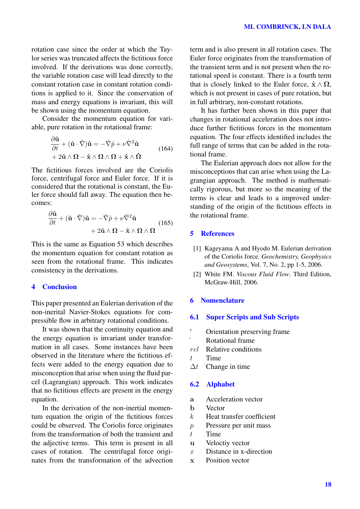rotation case since the order at which the Taylor series was truncated affects the fictitious force involved. If the derivations was done correctly, the variable rotation case will lead directly to the constant rotation case in constant rotation conditions is applied to it. Since the conservation of mass and energy equations is invariant, this will be shown using the momentum equation.

Consider the momentum equation for variable, pure rotation in the rotational frame:

$$
\frac{\partial \hat{\mathbf{u}}}{\partial t} + (\hat{\mathbf{u}} \cdot \hat{\nabla}) \hat{\mathbf{u}} = -\hat{\nabla} \hat{p} + \nu \hat{\nabla}^2 \hat{\mathbf{u}} + 2\hat{\mathbf{u}} \wedge \mathbf{\Omega} - \hat{\mathbf{x}} \wedge \mathbf{\Omega} \wedge \mathbf{\Omega} + \hat{\mathbf{x}} \wedge \hat{\mathbf{\Omega}}
$$
(164)

The fictitious forces involved are the Coriolis force, centrifugal force and Euler force. If it is considered that the rotational is constant, the Euler force should fall away. The equation then becomes:

$$
\frac{\partial \hat{\mathbf{u}}}{\partial t} + (\hat{\mathbf{u}} \cdot \hat{\nabla}) \hat{\mathbf{u}} = -\hat{\nabla} \hat{p} + \nu \hat{\nabla}^2 \hat{\mathbf{u}} + 2\hat{\mathbf{u}} \wedge \Omega - \hat{\mathbf{x}} \wedge \Omega \wedge \Omega
$$
\n(165)

This is the same as Equation 53 which describes the momentum equation for constant rotation as seen from the rotational frame. This indicates consistency in the derivations.

#### 4 Conclusion

This paper presented an Eulerian derivation of the non-inerital Navier-Stokes equations for compressible flow in arbitrary rotational conditions.

It was shown that the continuity equation and the energy equation is invariant under transformation in all cases. Some instances have been observed in the literature where the fictitious effects were added to the energy equation due to misconception that arise when using the fluid parcel (Lagrangian) approach. This work indicates that no fictitious effects are present in the energy equation.

In the derivation of the non-inertial momentum equation the origin of the fictitious forces could be observed. The Coriolis force originates from the transformation of both the transient and the adjective terms. This term is present in all cases of rotation. The centrifugal force originates from the transformation of the advection term and is also present in all rotation cases. The Euler force originates from the transformation of the transient term and is not present when the rotational speed is constant. There is a fourth term that is closely linked to the Euler force,  $\dot{\mathbf{x}} \wedge \mathbf{\Omega}$ , which is not present in cases of pure rotation, but in full arbitrary, non-constant rotations.

It has further been shown in this paper that changes in rotational acceleration does not introduce further fictitious forces in the momentum equation. The four effects identified includes the full range of terms that can be added in the rotational frame.

The Eulerian approach does not allow for the misconceptions that can arise when using the Lagrangian approach. The method is mathematically rigorous, but more so the meaning of the terms is clear and leads to a improved understanding of the origin of the fictitious effects in the rotational frame.

## 5 References

- [1] Kageyama A and Hyodo M. Eulerian derivation of the Coriolis force. *Geochemistry, Geophysics and Geosystems*, Vol. 7, No. 2, pp 1-5, 2006.
- [2] White FM. *Viscous Fluid Flow*. Third Edition, McGraw-Hill, 2006.

## 6 Nomenclature

#### 6.1 Super Scripts and Sub Scripts

- <sup>'</sup> Orientation preserving frame Rotational frame
- rel Relative conditions
- $t$  Time
- $\Delta t$  Change in time

## 6.2 Alphabet

- a Acceleration vector
- b Vector
- $k$  Heat transfer coefficient
- p Pressure per unit mass
- $t$  Time
- u Veloctiy vector
- $x$  Distance in x-direction
- x Position vector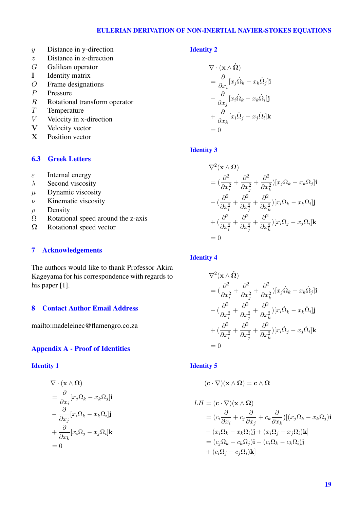## EULERIAN DERIVATION OF NON-INERTIAL NAVIER-STOKES EQUATIONS

- y Distance in y-direction
- z Distance in z-direction
- G Galilean operator
- I Identity matrix
- O Frame designations
- P Pressure
- $R$  Rotational transform operator
- $T$  Temperature<br>  $V$  Velocity in x
- Velocity in x-direction
- V Velocity vector
- X Position vector

# 6.3 Greek Letters

- $\epsilon$  Internal energy
- $\lambda$  Second viscosity
- $\mu$  Dynamic viscosity
- $\nu$  Kinematic viscosity
- $\rho$  Density
- $\Omega$  Rotational speed around the z-axis
- $\Omega$  Rotational speed vector

## 7 Acknowledgements

The authors would like to thank Professor Akira Kageyama for his correspondence with regards to his paper [1].

# 8 Contact Author Email Address

mailto:madeleinec@flamengro.co.za

## Appendix A - Proof of Identities

#### Identity 1

$$
\nabla \cdot (\mathbf{x} \wedge \mathbf{\Omega})
$$
  
=  $\frac{\partial}{\partial x_i} [x_j \Omega_k - x_k \Omega_j] \mathbf{i}$   
-  $\frac{\partial}{\partial x_j} [x_i \Omega_k - x_k \Omega_i] \mathbf{j}$   
+  $\frac{\partial}{\partial x_k} [x_i \Omega_j - x_j \Omega_i] \mathbf{k}$   
= 0

## Identity 2

$$
\nabla \cdot (\mathbf{x} \wedge \mathbf{\dot{\Omega}})
$$
\n
$$
= \frac{\partial}{\partial x_i} [x_j \dot{\Omega}_k - x_k \dot{\Omega}_j] \mathbf{i}
$$
\n
$$
- \frac{\partial}{\partial x_j} [x_i \dot{\Omega}_k - x_k \dot{\Omega}_i] \mathbf{j}
$$
\n
$$
+ \frac{\partial}{\partial x_k} [x_i \dot{\Omega}_j - x_j \dot{\Omega}_i] \mathbf{k}
$$
\n
$$
= 0
$$

## Identity 3

$$
\nabla^2(\mathbf{x} \wedge \mathbf{\Omega})
$$
  
=  $(\frac{\partial^2}{\partial x_i^2} + \frac{\partial^2}{\partial x_j^2} + \frac{\partial^2}{\partial x_k^2})[x_j\Omega_k - x_k\Omega_j]\mathbf{i}$   

$$
-(\frac{\partial^2}{\partial x_i^2} + \frac{\partial^2}{\partial x_j^2} + \frac{\partial^2}{\partial x_k^2})[x_i\Omega_k - x_k\Omega_i]\mathbf{j}
$$
  

$$
+(\frac{\partial^2}{\partial x_i^2} + \frac{\partial^2}{\partial x_j^2} + \frac{\partial^2}{\partial x_k^2})[x_i\Omega_j - x_j\Omega_i]\mathbf{k}
$$
  
= 0

# Identity 4

$$
\nabla^2(\mathbf{x} \wedge \mathbf{\dot{\Omega}})
$$
  
=  $(\frac{\partial^2}{\partial x_i^2} + \frac{\partial^2}{\partial x_j^2} + \frac{\partial^2}{\partial x_k^2}) [x_j \dot{\Omega}_k - x_k \dot{\Omega}_j] \mathbf{i}$   
-  $(\frac{\partial^2}{\partial x_i^2} + \frac{\partial^2}{\partial x_j^2} + \frac{\partial^2}{\partial x_k^2}) [x_i \dot{\Omega}_k - x_k \dot{\Omega}_i] \mathbf{j}$   
+  $(\frac{\partial^2}{\partial x_i^2} + \frac{\partial^2}{\partial x_j^2} + \frac{\partial^2}{\partial x_k^2}) [x_i \dot{\Omega}_j - x_j \dot{\Omega}_i] \mathbf{k}$   
= 0

#### Identity 5

$$
(\mathbf{c}\cdot\nabla)(\mathbf{x}\wedge\Omega)=\mathbf{c}\wedge\Omega
$$

$$
LH = (\mathbf{c} \cdot \nabla)(\mathbf{x} \wedge \mathbf{\Omega})
$$
  
\n
$$
= (c_i \frac{\partial}{\partial x_i} + c_j \frac{\partial}{\partial x_j} + c_k \frac{\partial}{\partial x_k})[(x_j \Omega_k - x_k \Omega_j)]\mathbf{i}
$$
  
\n
$$
- (x_i \Omega_k - x_k \Omega_i)\mathbf{j} + (x_i \Omega_j - x_j \Omega_i)\mathbf{k}]
$$
  
\n
$$
= (c_j \Omega_k - c_k \Omega_j)\mathbf{i} - (c_i \Omega_k - c_k \Omega_i)\mathbf{j}
$$
  
\n
$$
+ (c_i \Omega_j - c_j \Omega_i)\mathbf{k}]
$$